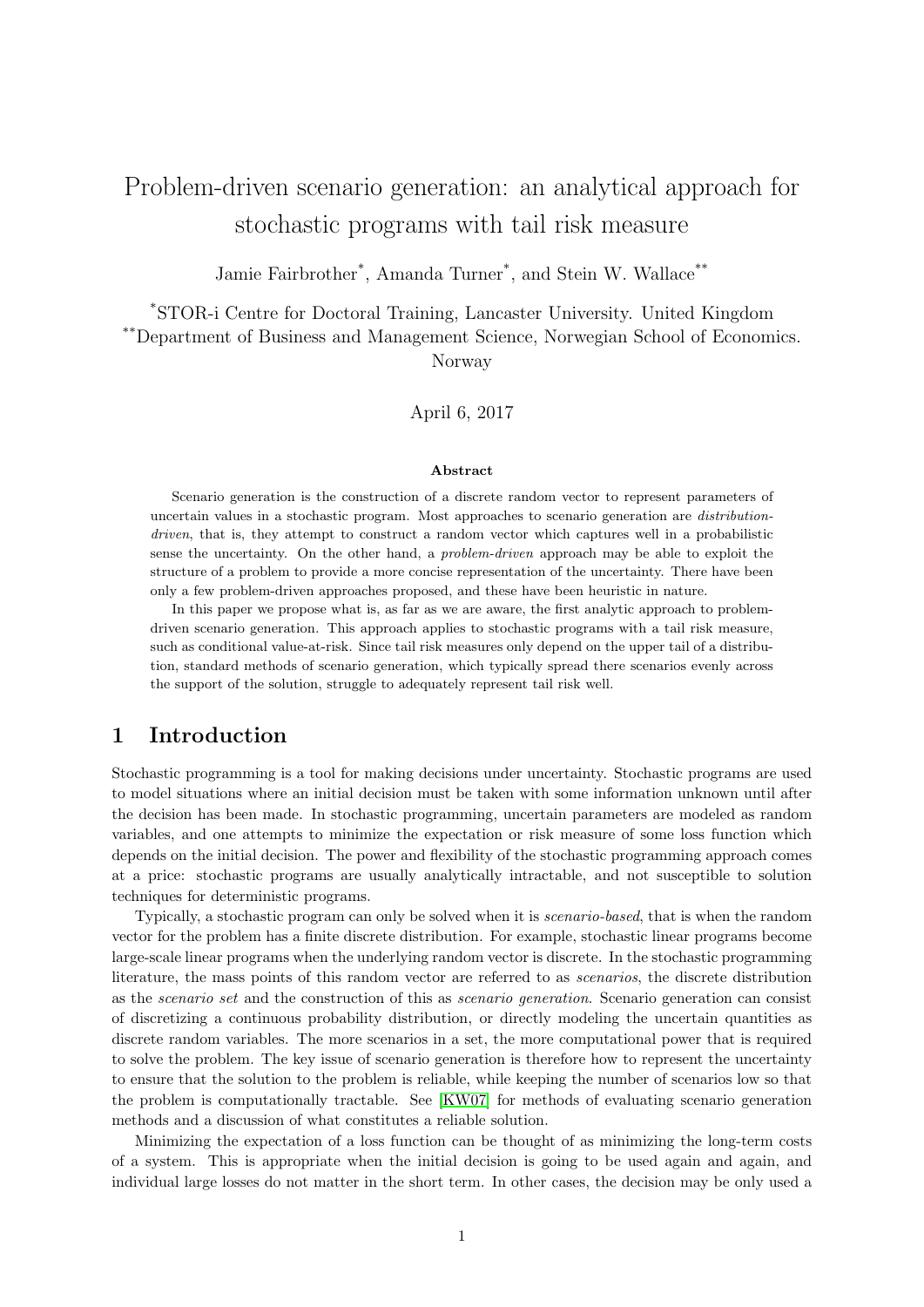# Problem-driven scenario generation: an analytical approach for stochastic programs with tail risk measure

Jamie Fairbrother<sup>\*</sup>, Amanda Turner<sup>\*</sup>, and Stein W. Wallace<sup>\*\*</sup>

\*STOR-i Centre for Doctoral Training, Lancaster University. United Kingdom

\*\*Department of Business and Management Science, Norwegian School of Economics.

Norway

April 6, 2017

#### Abstract

Scenario generation is the construction of a discrete random vector to represent parameters of uncertain values in a stochastic program. Most approaches to scenario generation are distributiondriven, that is, they attempt to construct a random vector which captures well in a probabilistic sense the uncertainty. On the other hand, a problem-driven approach may be able to exploit the structure of a problem to provide a more concise representation of the uncertainty. There have been only a few problem-driven approaches proposed, and these have been heuristic in nature.

In this paper we propose what is, as far as we are aware, the first analytic approach to problemdriven scenario generation. This approach applies to stochastic programs with a tail risk measure, such as conditional value-at-risk. Since tail risk measures only depend on the upper tail of a distribution, standard methods of scenario generation, which typically spread there scenarios evenly across the support of the solution, struggle to adequately represent tail risk well.

## 1 Introduction

Stochastic programming is a tool for making decisions under uncertainty. Stochastic programs are used to model situations where an initial decision must be taken with some information unknown until after the decision has been made. In stochastic programming, uncertain parameters are modeled as random variables, and one attempts to minimize the expectation or risk measure of some loss function which depends on the initial decision. The power and flexibility of the stochastic programming approach comes at a price: stochastic programs are usually analytically intractable, and not susceptible to solution techniques for deterministic programs.

Typically, a stochastic program can only be solved when it is scenario-based, that is when the random vector for the problem has a finite discrete distribution. For example, stochastic linear programs become large-scale linear programs when the underlying random vector is discrete. In the stochastic programming literature, the mass points of this random vector are referred to as scenarios, the discrete distribution as the scenario set and the construction of this as scenario generation. Scenario generation can consist of discretizing a continuous probability distribution, or directly modeling the uncertain quantities as discrete random variables. The more scenarios in a set, the more computational power that is required to solve the problem. The key issue of scenario generation is therefore how to represent the uncertainty to ensure that the solution to the problem is reliable, while keeping the number of scenarios low so that the problem is computationally tractable. See [\[KW07\]](#page-21-0) for methods of evaluating scenario generation methods and a discussion of what constitutes a reliable solution.

Minimizing the expectation of a loss function can be thought of as minimizing the long-term costs of a system. This is appropriate when the initial decision is going to be used again and again, and individual large losses do not matter in the short term. In other cases, the decision may be only used a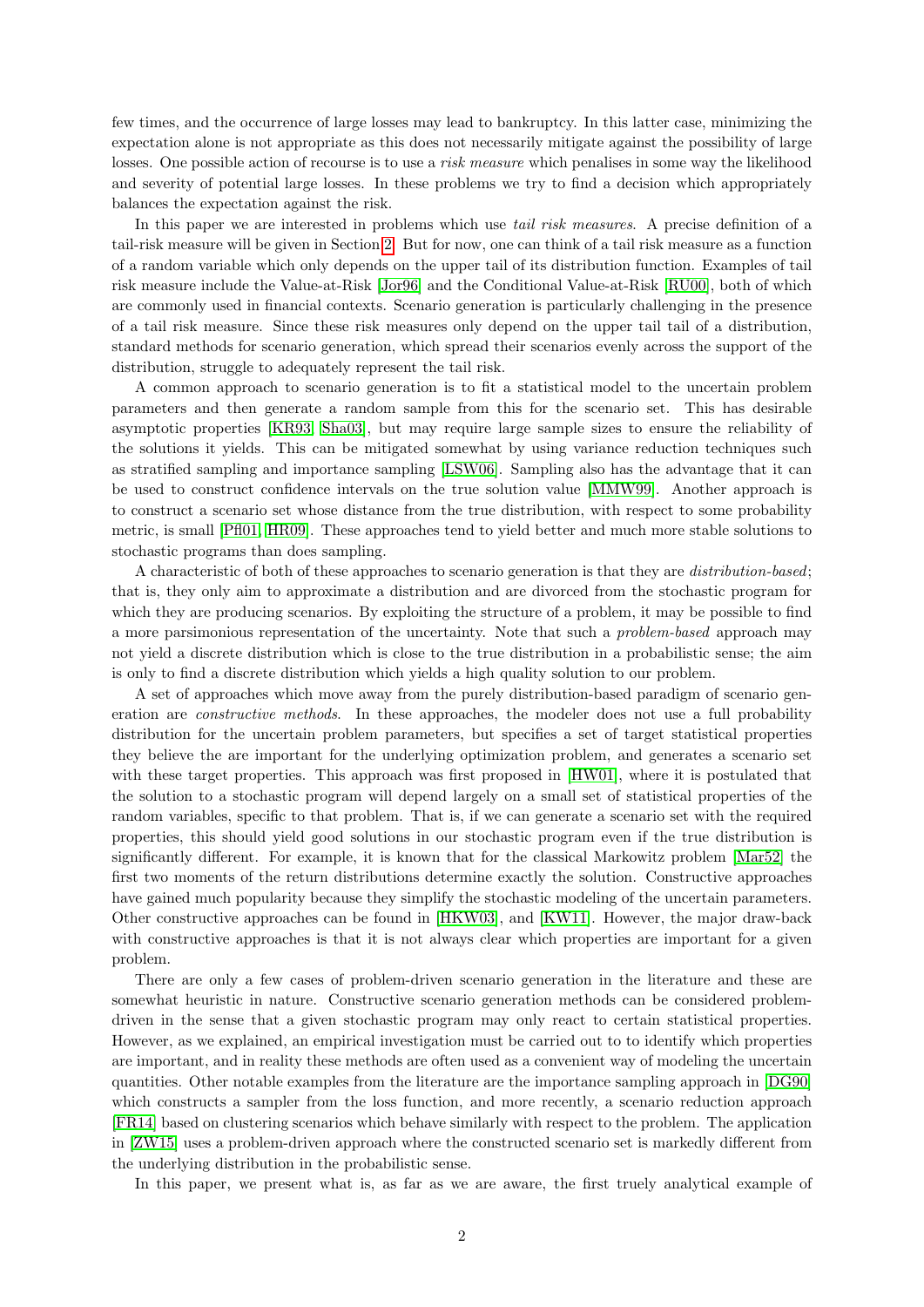few times, and the occurrence of large losses may lead to bankruptcy. In this latter case, minimizing the expectation alone is not appropriate as this does not necessarily mitigate against the possibility of large losses. One possible action of recourse is to use a *risk measure* which penalises in some way the likelihood and severity of potential large losses. In these problems we try to find a decision which appropriately balances the expectation against the risk.

In this paper we are interested in problems which use *tail risk measures*. A precise definition of a tail-risk measure will be given in Section [2.](#page-2-0) But for now, one can think of a tail risk measure as a function of a random variable which only depends on the upper tail of its distribution function. Examples of tail risk measure include the Value-at-Risk [\[Jor96\]](#page-21-1) and the Conditional Value-at-Risk [\[RU00\]](#page-21-2), both of which are commonly used in financial contexts. Scenario generation is particularly challenging in the presence of a tail risk measure. Since these risk measures only depend on the upper tail tail of a distribution, standard methods for scenario generation, which spread their scenarios evenly across the support of the distribution, struggle to adequately represent the tail risk.

A common approach to scenario generation is to fit a statistical model to the uncertain problem parameters and then generate a random sample from this for the scenario set. This has desirable asymptotic properties [\[KR93,](#page-21-3) [Sha03\]](#page-21-4), but may require large sample sizes to ensure the reliability of the solutions it yields. This can be mitigated somewhat by using variance reduction techniques such as stratified sampling and importance sampling [\[LSW06\]](#page-21-5). Sampling also has the advantage that it can be used to construct confidence intervals on the true solution value [\[MMW99\]](#page-21-6). Another approach is to construct a scenario set whose distance from the true distribution, with respect to some probability metric, is small [\[Pfl01,](#page-21-7) [HR09\]](#page-21-8). These approaches tend to yield better and much more stable solutions to stochastic programs than does sampling.

A characteristic of both of these approaches to scenario generation is that they are distribution-based; that is, they only aim to approximate a distribution and are divorced from the stochastic program for which they are producing scenarios. By exploiting the structure of a problem, it may be possible to find a more parsimonious representation of the uncertainty. Note that such a problem-based approach may not yield a discrete distribution which is close to the true distribution in a probabilistic sense; the aim is only to find a discrete distribution which yields a high quality solution to our problem.

A set of approaches which move away from the purely distribution-based paradigm of scenario generation are constructive methods. In these approaches, the modeler does not use a full probability distribution for the uncertain problem parameters, but specifies a set of target statistical properties they believe the are important for the underlying optimization problem, and generates a scenario set with these target properties. This approach was first proposed in [\[HW01\]](#page-21-9), where it is postulated that the solution to a stochastic program will depend largely on a small set of statistical properties of the random variables, specific to that problem. That is, if we can generate a scenario set with the required properties, this should yield good solutions in our stochastic program even if the true distribution is significantly different. For example, it is known that for the classical Markowitz problem [\[Mar52\]](#page-21-10) the first two moments of the return distributions determine exactly the solution. Constructive approaches have gained much popularity because they simplify the stochastic modeling of the uncertain parameters. Other constructive approaches can be found in [\[HKW03\]](#page-21-11), and [\[KW11\]](#page-21-12). However, the major draw-back with constructive approaches is that it is not always clear which properties are important for a given problem.

There are only a few cases of problem-driven scenario generation in the literature and these are somewhat heuristic in nature. Constructive scenario generation methods can be considered problemdriven in the sense that a given stochastic program may only react to certain statistical properties. However, as we explained, an empirical investigation must be carried out to to identify which properties are important, and in reality these methods are often used as a convenient way of modeling the uncertain quantities. Other notable examples from the literature are the importance sampling approach in [\[DG90\]](#page-20-0) which constructs a sampler from the loss function, and more recently, a scenario reduction approach [\[FR14\]](#page-20-1) based on clustering scenarios which behave similarly with respect to the problem. The application in [\[ZW15\]](#page-22-0) uses a problem-driven approach where the constructed scenario set is markedly different from the underlying distribution in the probabilistic sense.

In this paper, we present what is, as far as we are aware, the first truely analytical example of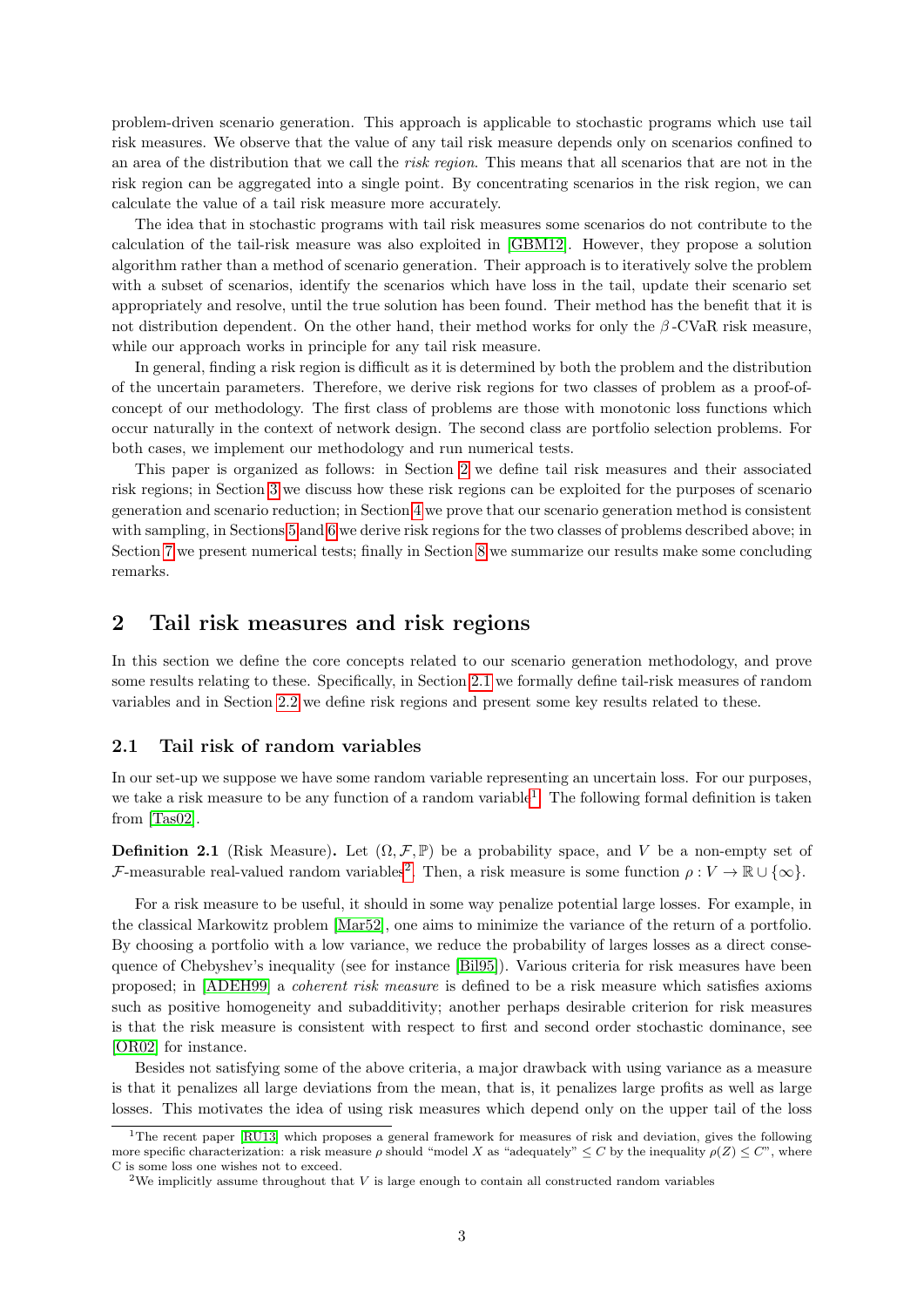problem-driven scenario generation. This approach is applicable to stochastic programs which use tail risk measures. We observe that the value of any tail risk measure depends only on scenarios confined to an area of the distribution that we call the risk region. This means that all scenarios that are not in the risk region can be aggregated into a single point. By concentrating scenarios in the risk region, we can calculate the value of a tail risk measure more accurately.

The idea that in stochastic programs with tail risk measures some scenarios do not contribute to the calculation of the tail-risk measure was also exploited in [\[GBM12\]](#page-20-2). However, they propose a solution algorithm rather than a method of scenario generation. Their approach is to iteratively solve the problem with a subset of scenarios, identify the scenarios which have loss in the tail, update their scenario set appropriately and resolve, until the true solution has been found. Their method has the benefit that it is not distribution dependent. On the other hand, their method works for only the  $\beta$ -CVaR risk measure, while our approach works in principle for any tail risk measure.

In general, finding a risk region is difficult as it is determined by both the problem and the distribution of the uncertain parameters. Therefore, we derive risk regions for two classes of problem as a proof-ofconcept of our methodology. The first class of problems are those with monotonic loss functions which occur naturally in the context of network design. The second class are portfolio selection problems. For both cases, we implement our methodology and run numerical tests.

This paper is organized as follows: in Section [2](#page-2-0) we define tail risk measures and their associated risk regions; in Section [3](#page-7-0) we discuss how these risk regions can be exploited for the purposes of scenario generation and scenario reduction; in Section [4](#page-9-0) we prove that our scenario generation method is consistent with sampling, in Sections [5](#page-13-0) and [6](#page-15-0) we derive risk regions for the two classes of problems described above; in Section [7](#page-18-0) we present numerical tests; finally in Section [8](#page-19-0) we summarize our results make some concluding remarks.

# <span id="page-2-0"></span>2 Tail risk measures and risk regions

In this section we define the core concepts related to our scenario generation methodology, and prove some results relating to these. Specifically, in Section [2.1](#page-2-1) we formally define tail-risk measures of random variables and in Section [2.2](#page-3-0) we define risk regions and present some key results related to these.

### <span id="page-2-1"></span>2.1 Tail risk of random variables

In our set-up we suppose we have some random variable representing an uncertain loss. For our purposes, we take a risk measure to be any function of a random variable<sup>[1](#page-2-2)</sup>. The following formal definition is taken from [\[Tas02\]](#page-22-1).

**Definition 2.1** (Risk Measure). Let  $(\Omega, \mathcal{F}, \mathbb{P})$  be a probability space, and V be a non-empty set of F-measurable real-valued random variables<sup>[2](#page-2-3)</sup>. Then, a risk measure is some function  $\rho: V \to \mathbb{R} \cup \{\infty\}.$ 

For a risk measure to be useful, it should in some way penalize potential large losses. For example, in the classical Markowitz problem [\[Mar52\]](#page-21-10), one aims to minimize the variance of the return of a portfolio. By choosing a portfolio with a low variance, we reduce the probability of larges losses as a direct consequence of Chebyshev's inequality (see for instance [\[Bil95\]](#page-20-3)). Various criteria for risk measures have been proposed; in [\[ADEH99\]](#page-20-4) a coherent risk measure is defined to be a risk measure which satisfies axioms such as positive homogeneity and subadditivity; another perhaps desirable criterion for risk measures is that the risk measure is consistent with respect to first and second order stochastic dominance, see [\[OR02\]](#page-21-13) for instance.

Besides not satisfying some of the above criteria, a major drawback with using variance as a measure is that it penalizes all large deviations from the mean, that is, it penalizes large profits as well as large losses. This motivates the idea of using risk measures which depend only on the upper tail of the loss

<span id="page-2-2"></span><sup>&</sup>lt;sup>1</sup>The recent paper [\[RU13\]](#page-21-14) which proposes a general framework for measures of risk and deviation, gives the following more specific characterization: a risk measure  $\rho$  should "model X as "adequately"  $\leq C$  by the inequality  $\rho(Z) \leq C$ ", where C is some loss one wishes not to exceed.

<span id="page-2-3"></span><sup>&</sup>lt;sup>2</sup>We implicitly assume throughout that  $V$  is large enough to contain all constructed random variables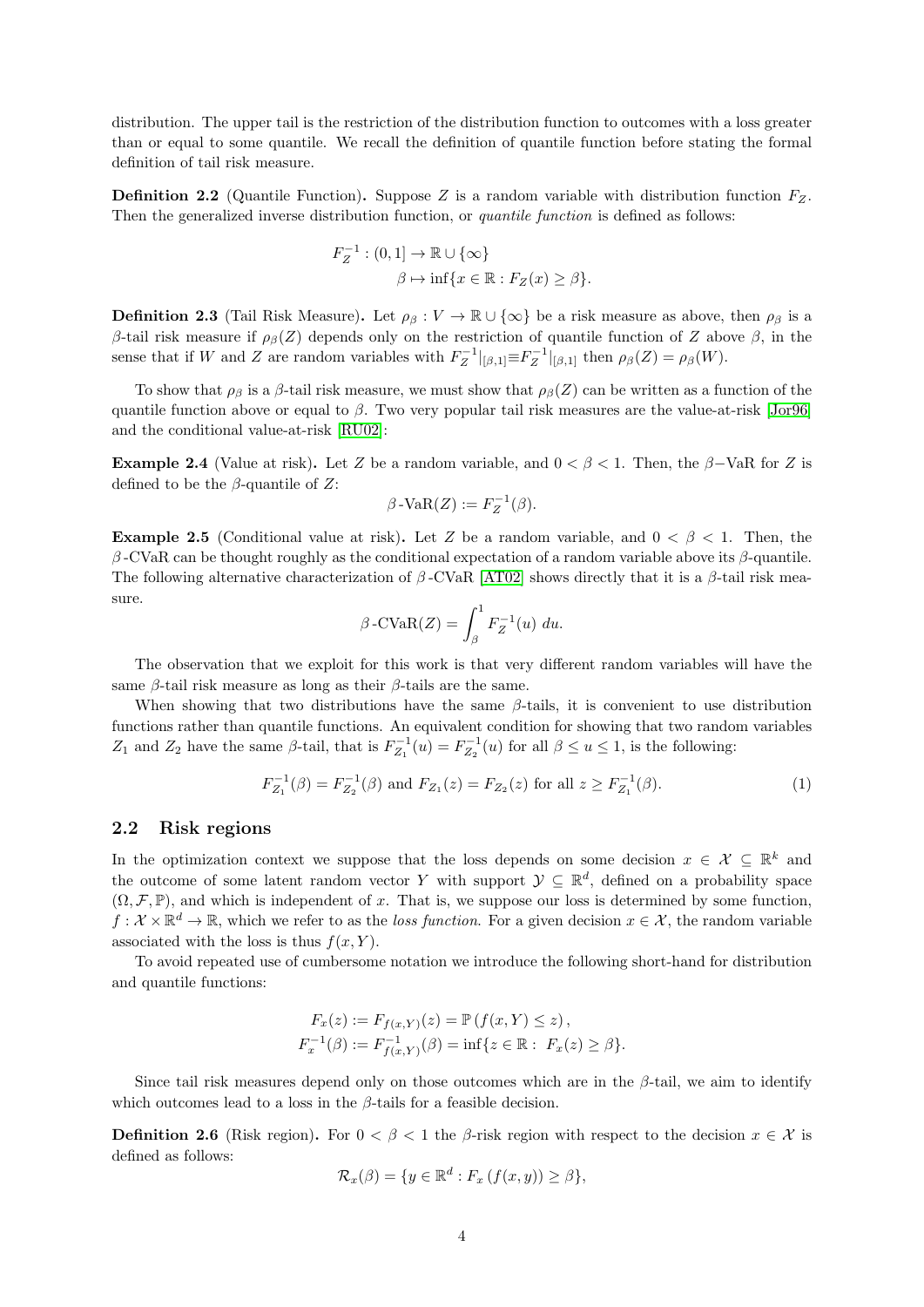distribution. The upper tail is the restriction of the distribution function to outcomes with a loss greater than or equal to some quantile. We recall the definition of quantile function before stating the formal definition of tail risk measure.

**Definition 2.2** (Quantile Function). Suppose Z is a random variable with distribution function  $F_Z$ . Then the generalized inverse distribution function, or *quantile function* is defined as follows:

$$
F_Z^{-1} : (0,1] \to \mathbb{R} \cup \{\infty\}
$$

$$
\beta \mapsto \inf\{x \in \mathbb{R} : F_Z(x) \ge \beta\}.
$$

**Definition 2.3** (Tail Risk Measure). Let  $\rho_{\beta}: V \to \mathbb{R} \cup \{\infty\}$  be a risk measure as above, then  $\rho_{\beta}$  is a β-tail risk measure if  $ρ_β(Z)$  depends only on the restriction of quantile function of Z above  $β$ , in the sense that if W and Z are random variables with  $F_Z^{-1}|_{[\beta,1]} \equiv F_Z^{-1}|_{[\beta,1]}$  then  $\rho_\beta(Z) = \rho_\beta(W)$ .

To show that  $\rho_\beta$  is a  $\beta$ -tail risk measure, we must show that  $\rho_\beta(Z)$  can be written as a function of the quantile function above or equal to  $\beta$ . Two very popular tail risk measures are the value-at-risk [\[Jor96\]](#page-21-1) and the conditional value-at-risk [\[RU02\]](#page-21-15):

**Example 2.4** (Value at risk). Let Z be a random variable, and  $0 < \beta < 1$ . Then, the  $\beta$ -VaR for Z is defined to be the  $\beta$ -quantile of Z:

$$
\beta\operatorname{-VaR}(Z):=F_Z^{-1}(\beta).
$$

**Example 2.5** (Conditional value at risk). Let Z be a random variable, and  $0 < \beta < 1$ . Then, the β -CVaR can be thought roughly as the conditional expectation of a random variable above its β-quantile. The following alternative characterization of  $\beta$ -CVaR [\[AT02\]](#page-20-5) shows directly that it is a  $\beta$ -tail risk measure.

$$
\beta \text{-CVaR}(Z) = \int_{\beta}^{1} F_Z^{-1}(u) \ du.
$$

The observation that we exploit for this work is that very different random variables will have the same  $\beta$ -tail risk measure as long as their  $\beta$ -tails are the same.

When showing that two distributions have the same  $\beta$ -tails, it is convenient to use distribution functions rather than quantile functions. An equivalent condition for showing that two random variables Z<sub>1</sub> and Z<sub>2</sub> have the same  $\beta$ -tail, that is  $F_{Z_1}^{-1}(u) = F_{Z_2}^{-1}(u)$  for all  $\beta \le u \le 1$ , is the following:

$$
F_{Z_1}^{-1}(\beta) = F_{Z_2}^{-1}(\beta) \text{ and } F_{Z_1}(z) = F_{Z_2}(z) \text{ for all } z \ge F_{Z_1}^{-1}(\beta). \tag{1}
$$

### <span id="page-3-0"></span>2.2 Risk regions

In the optimization context we suppose that the loss depends on some decision  $x \in \mathcal{X} \subseteq \mathbb{R}^k$  and the outcome of some latent random vector Y with support  $\mathcal{Y} \subseteq \mathbb{R}^d$ , defined on a probability space  $(\Omega, \mathcal{F}, \mathbb{P})$ , and which is independent of x. That is, we suppose our loss is determined by some function,  $f: \mathcal{X} \times \mathbb{R}^d \to \mathbb{R}$ , which we refer to as the loss function. For a given decision  $x \in \mathcal{X}$ , the random variable associated with the loss is thus  $f(x, Y)$ .

To avoid repeated use of cumbersome notation we introduce the following short-hand for distribution and quantile functions:

$$
F_x(z) := F_{f(x,Y)}(z) = \mathbb{P}(f(x,Y) \leq z),
$$
  
\n
$$
F_x^{-1}(\beta) := F_{f(x,Y)}^{-1}(\beta) = \inf\{z \in \mathbb{R} : F_x(z) \geq \beta\}.
$$

Since tail risk measures depend only on those outcomes which are in the  $\beta$ -tail, we aim to identify which outcomes lead to a loss in the  $\beta$ -tails for a feasible decision.

**Definition 2.6** (Risk region). For  $0 < \beta < 1$  the  $\beta$ -risk region with respect to the decision  $x \in \mathcal{X}$  is defined as follows:

$$
\mathcal{R}_x(\beta) = \{ y \in \mathbb{R}^d : F_x(f(x, y)) \ge \beta \},\
$$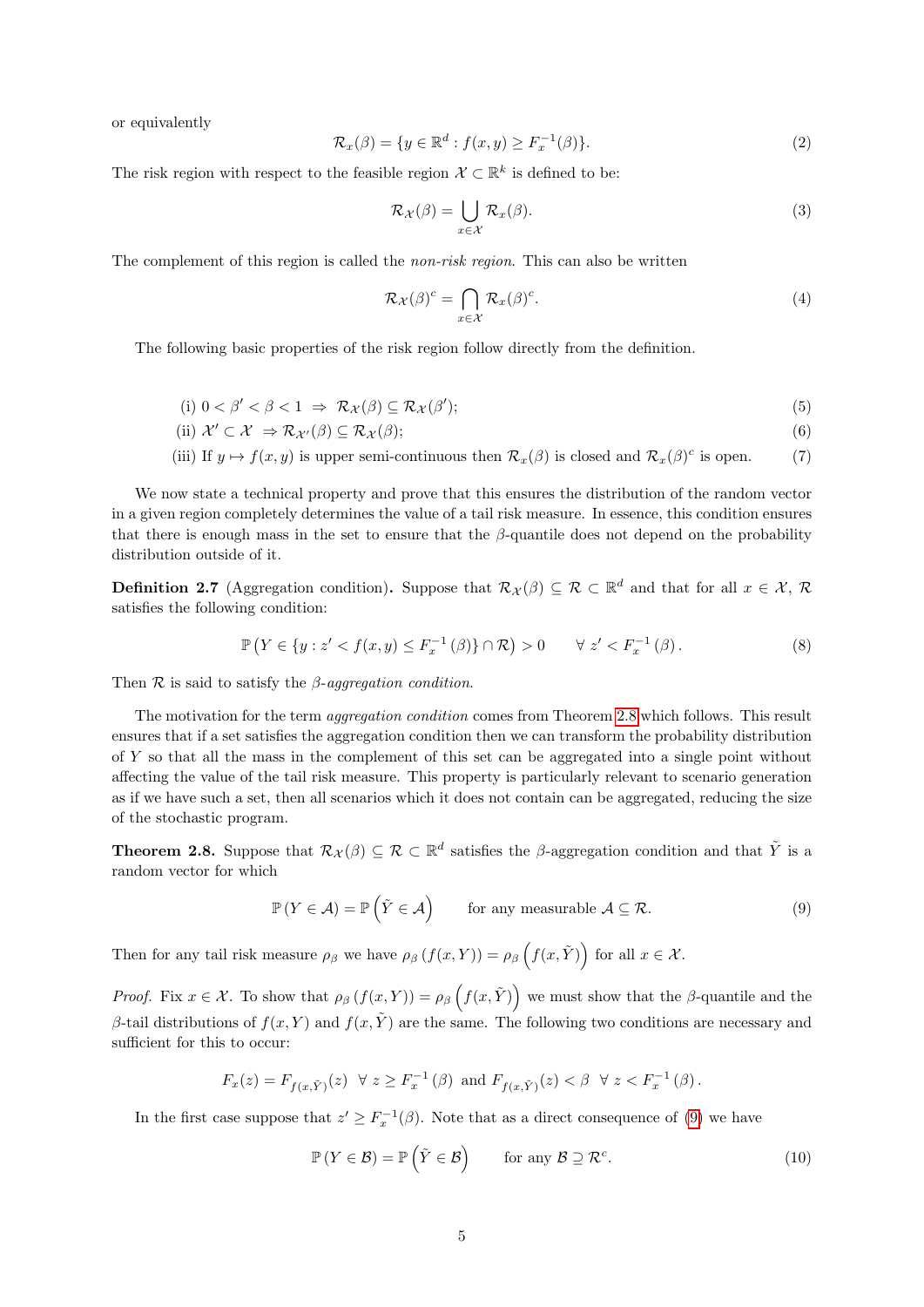or equivalently

$$
\mathcal{R}_x(\beta) = \{ y \in \mathbb{R}^d : f(x, y) \ge F_x^{-1}(\beta) \}. \tag{2}
$$

The risk region with respect to the feasible region  $\mathcal{X} \subset \mathbb{R}^k$  is defined to be:

<span id="page-4-4"></span>
$$
\mathcal{R}_{\mathcal{X}}(\beta) = \bigcup_{x \in \mathcal{X}} \mathcal{R}_{x}(\beta). \tag{3}
$$

The complement of this region is called the *non-risk region*. This can also be written

<span id="page-4-7"></span><span id="page-4-6"></span><span id="page-4-5"></span>
$$
\mathcal{R}_{\mathcal{X}}(\beta)^c = \bigcap_{x \in \mathcal{X}} \mathcal{R}_x(\beta)^c.
$$
 (4)

The following basic properties of the risk region follow directly from the definition.

$$
(i) \ 0 < \beta' < \beta < 1 \ \Rightarrow \ \mathcal{R}_{\mathcal{X}}(\beta) \subseteq \mathcal{R}_{\mathcal{X}}(\beta');
$$

(ii) 
$$
\mathcal{X}' \subset \mathcal{X} \Rightarrow \mathcal{R}_{\mathcal{X}'}(\beta) \subseteq \mathcal{R}_{\mathcal{X}}(\beta);
$$
\n(6)

(iii) If  $y \mapsto f(x, y)$  is upper semi-continuous then  $\mathcal{R}_x(\beta)$  is closed and  $\mathcal{R}_x(\beta)^c$  is open. (7)

We now state a technical property and prove that this ensures the distribution of the random vector in a given region completely determines the value of a tail risk measure. In essence, this condition ensures that there is enough mass in the set to ensure that the  $\beta$ -quantile does not depend on the probability distribution outside of it.

**Definition 2.7** (Aggregation condition). Suppose that  $\mathcal{R}_{\mathcal{X}}(\beta) \subseteq \mathcal{R} \subset \mathbb{R}^d$  and that for all  $x \in \mathcal{X}, \mathcal{R}$ satisfies the following condition:

<span id="page-4-3"></span>
$$
\mathbb{P}\left(Y \in \{y : z' < f(x, y) \le F_x^{-1}(\beta)\} \cap \mathcal{R}\right) > 0 \qquad \forall \ z' < F_x^{-1}(\beta). \tag{8}
$$

Then  $\mathcal R$  is said to satisfy the  $\beta$ -aggregation condition.

The motivation for the term *aggregation condition* comes from Theorem [2.8](#page-4-0) which follows. This result ensures that if a set satisfies the aggregation condition then we can transform the probability distribution of Y so that all the mass in the complement of this set can be aggregated into a single point without affecting the value of the tail risk measure. This property is particularly relevant to scenario generation as if we have such a set, then all scenarios which it does not contain can be aggregated, reducing the size of the stochastic program.

<span id="page-4-0"></span>**Theorem 2.8.** Suppose that  $\mathcal{R}_{\mathcal{X}}(\beta) \subseteq \mathcal{R} \subset \mathbb{R}^d$  satisfies the  $\beta$ -aggregation condition and that  $\tilde{Y}$  is a random vector for which

<span id="page-4-1"></span>
$$
\mathbb{P}\left(Y \in \mathcal{A}\right) = \mathbb{P}\left(\tilde{Y} \in \mathcal{A}\right) \qquad \text{for any measurable } \mathcal{A} \subseteq \mathcal{R}.\tag{9}
$$

Then for any tail risk measure  $\rho_\beta$  we have  $\rho_\beta(f(x, Y)) = \rho_\beta\left(f(x, \tilde{Y})\right)$  for all  $x \in \mathcal{X}$ .

*Proof.* Fix  $x \in \mathcal{X}$ . To show that  $\rho_{\beta}(f(x, Y)) = \rho_{\beta}(f(x, \tilde{Y}))$  we must show that the  $\beta$ -quantile and the β-tail distributions of  $f(x, Y)$  and  $f(x, \tilde{Y})$  are the same. The following two conditions are necessary and sufficient for this to occur:

$$
F_x(z) = F_{f(x, \tilde{Y})}(z) \ \ \forall \ z \geq F_x^{-1}(\beta) \ \text{and} \ F_{f(x, \tilde{Y})}(z) < \beta \ \ \forall \ z < F_x^{-1}(\beta).
$$

In the first case suppose that  $z' \geq F_x^{-1}(\beta)$ . Note that as a direct consequence of [\(9\)](#page-4-1) we have

<span id="page-4-2"></span>
$$
\mathbb{P}\left(Y \in \mathcal{B}\right) = \mathbb{P}\left(\tilde{Y} \in \mathcal{B}\right) \quad \text{for any } \mathcal{B} \supseteq \mathcal{R}^c. \tag{10}
$$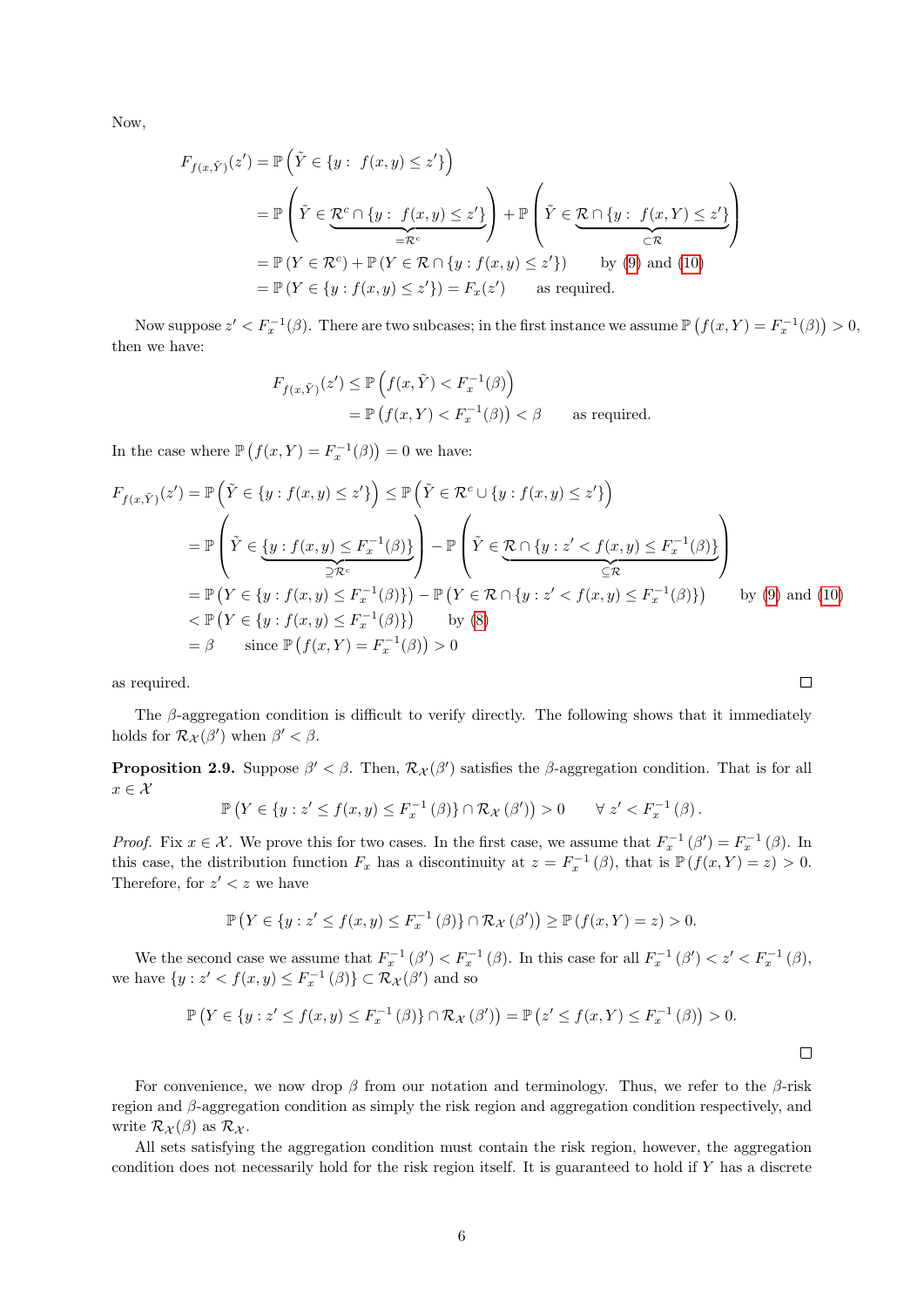Now,

$$
F_{f(x,\tilde{Y})}(z') = \mathbb{P}\left(\tilde{Y} \in \{y : f(x,y) \le z'\}\right)
$$
  
\n
$$
= \mathbb{P}\left(\tilde{Y} \in \underbrace{\mathcal{R}^c \cap \{y : f(x,y) \le z'\}}_{=\mathcal{R}^c}\right) + \mathbb{P}\left(\tilde{Y} \in \underbrace{\mathcal{R} \cap \{y : f(x,Y) \le z'\}}_{\subset \mathcal{R}}\right)
$$
  
\n
$$
= \mathbb{P}\left(Y \in \mathcal{R}^c\right) + \mathbb{P}\left(Y \in \mathcal{R} \cap \{y : f(x,y) \le z'\}\right) \qquad \text{by (9) and (10)}
$$
  
\n
$$
= \mathbb{P}\left(Y \in \{y : f(x,y) \le z'\}\right) = F_x(z') \qquad \text{as required.}
$$

Now suppose  $z' < F_x^{-1}(\beta)$ . There are two subcases; in the first instance we assume  $\mathbb{P}\left(f(x,Y) = F_x^{-1}(\beta)\right) > 0$ , then we have:

$$
F_{f(x,\tilde{Y})}(z') \le \mathbb{P}\left(f(x,\tilde{Y}) < F_x^{-1}(\beta)\right)
$$
\n
$$
= \mathbb{P}\left(f(x,Y) < F_x^{-1}(\beta)\right) < \beta \qquad \text{as required.}
$$

In the case where  $\mathbb{P}\left(f(x,Y)=F_x^{-1}(\beta)\right)=0$  we have:

$$
F_{f(x,\tilde{Y})}(z') = \mathbb{P}\left(\tilde{Y} \in \{y : f(x,y) \leq z'\}\right) \leq \mathbb{P}\left(\tilde{Y} \in \mathcal{R}^c \cup \{y : f(x,y) \leq z'\}\right)
$$
  
\n
$$
= \mathbb{P}\left(\tilde{Y} \in \underbrace{\{y : f(x,y) \leq F_x^{-1}(\beta)\}}_{\supseteq \mathcal{R}^c}\right) - \mathbb{P}\left(\tilde{Y} \in \underbrace{\mathcal{R} \cap \{y : z' < f(x,y) \leq F_x^{-1}(\beta)\}}_{\supseteq \mathcal{R}}\right)
$$
  
\n
$$
= \mathbb{P}\left(Y \in \{y : f(x,y) \leq F_x^{-1}(\beta)\}\right) - \mathbb{P}\left(Y \in \mathcal{R} \cap \{y : z' < f(x,y) \leq F_x^{-1}(\beta)\}\right) \qquad \text{by (9) and (10)}
$$
  
\n
$$
< \mathbb{P}\left(Y \in \{y : f(x,y) \leq F_x^{-1}(\beta)\}\right) \qquad \text{by (8)}
$$
  
\n
$$
= \beta \qquad \text{since } \mathbb{P}\left(f(x,Y) = F_x^{-1}(\beta)\right) > 0
$$

as required.

The  $\beta$ -aggregation condition is difficult to verify directly. The following shows that it immediately holds for  $\mathcal{R}_{\mathcal{X}}(\beta')$  when  $\beta' < \beta$ .

**Proposition 2.9.** Suppose  $\beta' < \beta$ . Then,  $\mathcal{R}_{\mathcal{X}}(\beta')$  satisfies the  $\beta$ -aggregation condition. That is for all  $x\in\mathcal{X}$ 

$$
\mathbb{P}\left(Y \in \{y : z' \le f(x,y) \le F_x^{-1}(\beta)\} \cap \mathcal{R}_{\mathcal{X}}(\beta')\right) > 0 \qquad \forall \ z' < F_x^{-1}(\beta).
$$

*Proof.* Fix  $x \in \mathcal{X}$ . We prove this for two cases. In the first case, we assume that  $F_x^{-1}(\beta') = F_x^{-1}(\beta)$ . In this case, the distribution function  $F_x$  has a discontinuity at  $z = F_x^{-1}(\beta)$ , that is  $\mathbb{P}(f(x, Y) = z) > 0$ . Therefore, for  $z' < z$  we have

$$
\mathbb{P}\left(Y \in \{y : z' \le f(x,y) \le F_x^{-1}(\beta)\} \cap \mathcal{R}_{\mathcal{X}}(\beta')\right) \ge \mathbb{P}\left(f(x,Y) = z\right) > 0.
$$

We the second case we assume that  $F_x^{-1}(\beta') < F_x^{-1}(\beta)$ . In this case for all  $F_x^{-1}(\beta') < z' < F_x^{-1}(\beta)$ , we have  $\{y : z' < f(x, y) \le F_x^{-1}(\beta)\} \subset \mathcal{R}_{\mathcal{X}}(\beta')$  and so

$$
\mathbb{P}\left(Y \in \{y : z' \le f(x,y) \le F_x^{-1}(\beta)\} \cap \mathcal{R}_{\mathcal{X}}(\beta')\right) = \mathbb{P}\left(z' \le f(x,Y) \le F_x^{-1}(\beta)\right) > 0.
$$

For convenience, we now drop  $\beta$  from our notation and terminology. Thus, we refer to the  $\beta$ -risk region and β-aggregation condition as simply the risk region and aggregation condition respectively, and write  $\mathcal{R}_{\mathcal{X}}(\beta)$  as  $\mathcal{R}_{\mathcal{X}}$ .

All sets satisfying the aggregation condition must contain the risk region, however, the aggregation condition does not necessarily hold for the risk region itself. It is guaranteed to hold if Y has a discrete

 $\Box$ 

 $\Box$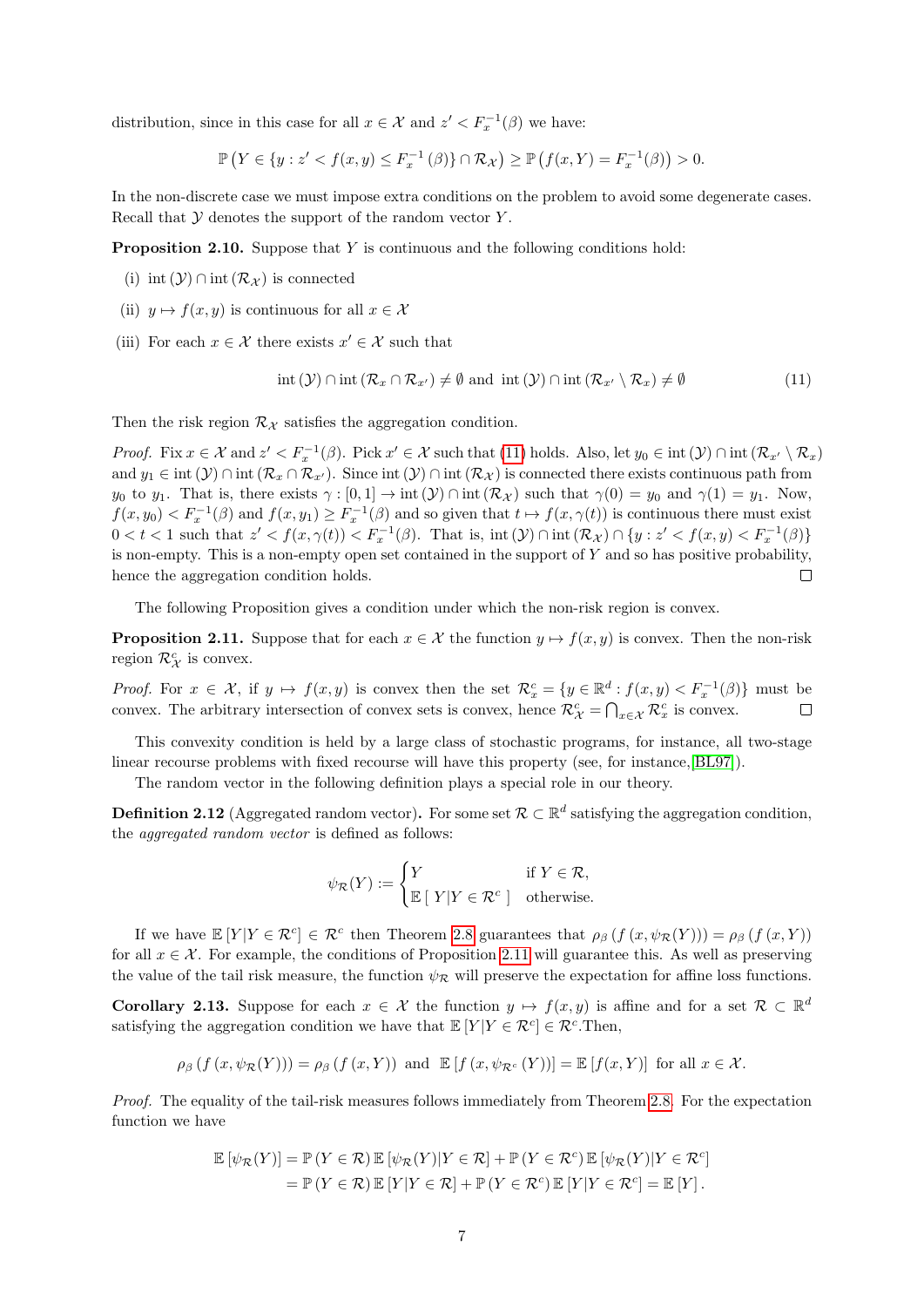distribution, since in this case for all  $x \in \mathcal{X}$  and  $z' < F_x^{-1}(\beta)$  we have:

$$
\mathbb{P}\left(Y \in \{y: z' < f(x,y) \le F_x^{-1}\left(\beta\right)\} \cap \mathcal{R}_{\mathcal{X}}\right) \ge \mathbb{P}\left(f(x,Y) = F_x^{-1}(\beta)\right) > 0.
$$

In the non-discrete case we must impose extra conditions on the problem to avoid some degenerate cases. Recall that  $Y$  denotes the support of the random vector  $Y$ .

<span id="page-6-4"></span>Proposition 2.10. Suppose that Y is continuous and the following conditions hold:

(i) int  $(\mathcal{Y})$  ∩ int  $(\mathcal{R}_{\mathcal{X}})$  is connected

- (ii)  $y \mapsto f(x, y)$  is continuous for all  $x \in \mathcal{X}$
- (iii) For each  $x \in \mathcal{X}$  there exists  $x' \in \mathcal{X}$  such that

<span id="page-6-0"></span>
$$
int(\mathcal{Y}) \cap int(\mathcal{R}_x \cap \mathcal{R}_{x'}) \neq \emptyset \text{ and } int(\mathcal{Y}) \cap int(\mathcal{R}_{x'} \setminus \mathcal{R}_x) \neq \emptyset \tag{11}
$$

Then the risk region  $\mathcal{R}_{\mathcal{X}}$  satisfies the aggregation condition.

Proof. Fix  $x \in \mathcal{X}$  and  $z' < F_x^{-1}(\beta)$ . Pick  $x' \in \mathcal{X}$  such that [\(11\)](#page-6-0) holds. Also, let  $y_0 \in \text{int}(\mathcal{Y}) \cap \text{int}(\mathcal{R}_{x'} \setminus \mathcal{R}_x)$ and  $y_1 \in \text{int}(\mathcal{Y}) \cap \text{int}(\mathcal{R}_{x} \cap \mathcal{R}_{x'})$ . Since  $\text{int}(\mathcal{Y}) \cap \text{int}(\mathcal{R}_{\mathcal{X}})$  is connected there exists continuous path from y<sub>0</sub> to y<sub>1</sub>. That is, there exists  $\gamma : [0,1] \to \text{int}(\mathcal{Y}) \cap \text{int}(\mathcal{R}_{\mathcal{X}})$  such that  $\gamma(0) = y_0$  and  $\gamma(1) = y_1$ . Now,  $f(x, y_0) < F_x^{-1}(\beta)$  and  $f(x, y_1) \ge F_x^{-1}(\beta)$  and so given that  $t \mapsto f(x, \gamma(t))$  is continuous there must exist  $0 < t < 1$  such that  $z' < f(x, \gamma(t)) < F_x^{-1}(\beta)$ . That is, int  $(\mathcal{Y}) \cap \text{int}(\mathcal{R}_{\mathcal{X}}) \cap \{y : z' < f(x, y) < F_x^{-1}(\beta)\}\$ is non-empty. This is a non-empty open set contained in the support of  $Y$  and so has positive probability, hence the aggregation condition holds.  $\Box$ 

The following Proposition gives a condition under which the non-risk region is convex.

<span id="page-6-1"></span>**Proposition 2.11.** Suppose that for each  $x \in \mathcal{X}$  the function  $y \mapsto f(x, y)$  is convex. Then the non-risk region  $\mathcal{R}_{\mathcal{X}}^c$  is convex.

*Proof.* For  $x \in \mathcal{X}$ , if  $y \mapsto f(x, y)$  is convex then the set  $\mathcal{R}_x^c = \{y \in \mathbb{R}^d : f(x, y) < F_x^{-1}(\beta)\}\$  must be convex. The arbitrary intersection of convex sets is convex, hence  $\mathcal{R}_{\chi}^c = \bigcap_{x \in \mathcal{X}} \mathcal{R}_x^c$  is convex.

This convexity condition is held by a large class of stochastic programs, for instance, all two-stage linear recourse problems with fixed recourse will have this property (see, for instance,[\[BL97\]](#page-20-6)).

The random vector in the following definition plays a special role in our theory.

<span id="page-6-2"></span>**Definition 2.12** (Aggregated random vector). For some set  $\mathcal{R} \subset \mathbb{R}^d$  satisfying the aggregation condition, the aggregated random vector is defined as follows:

$$
\psi_{\mathcal{R}}(Y) := \begin{cases} Y & \text{if } Y \in \mathcal{R}, \\ \mathbb{E} [Y|Y \in \mathcal{R}^c] & \text{otherwise.} \end{cases}
$$

If we have  $\mathbb{E}[Y|Y \in \mathcal{R}^c] \in \mathcal{R}^c$  then Theorem [2.8](#page-4-0) guarantees that  $\rho_\beta(f(x, \psi_{\mathcal{R}}(Y))) = \rho_\beta(f(x, Y))$ for all  $x \in \mathcal{X}$ . For example, the conditions of Proposition [2.11](#page-6-1) will guarantee this. As well as preserving the value of the tail risk measure, the function  $\psi_R$  will preserve the expectation for affine loss functions.

<span id="page-6-3"></span>**Corollary 2.13.** Suppose for each  $x \in \mathcal{X}$  the function  $y \mapsto f(x, y)$  is affine and for a set  $\mathcal{R} \subset \mathbb{R}^d$ satisfying the aggregation condition we have that  $\mathbb{E}[Y|Y \in \mathcal{R}^c] \in \mathcal{R}^c$ . Then,

$$
\rho_{\beta}(f(x,\psi_{\mathcal{R}}(Y))) = \rho_{\beta}(f(x,Y)) \text{ and } \mathbb{E}[f(x,\psi_{\mathcal{R}^c}(Y))] = \mathbb{E}[f(x,Y)] \text{ for all } x \in \mathcal{X}.
$$

Proof. The equality of the tail-risk measures follows immediately from Theorem [2.8.](#page-4-0) For the expectation function we have

$$
\mathbb{E} [\psi_{\mathcal{R}}(Y)] = \mathbb{P} (Y \in \mathcal{R}) \mathbb{E} [\psi_{\mathcal{R}}(Y)|Y \in \mathcal{R}] + \mathbb{P} (Y \in \mathcal{R}^{c}) \mathbb{E} [\psi_{\mathcal{R}}(Y)|Y \in \mathcal{R}^{c}]
$$
  
=  $\mathbb{P} (Y \in \mathcal{R}) \mathbb{E} [Y|Y \in \mathcal{R}] + \mathbb{P} (Y \in \mathcal{R}^{c}) \mathbb{E} [Y|Y \in \mathcal{R}^{c}] = \mathbb{E} [Y].$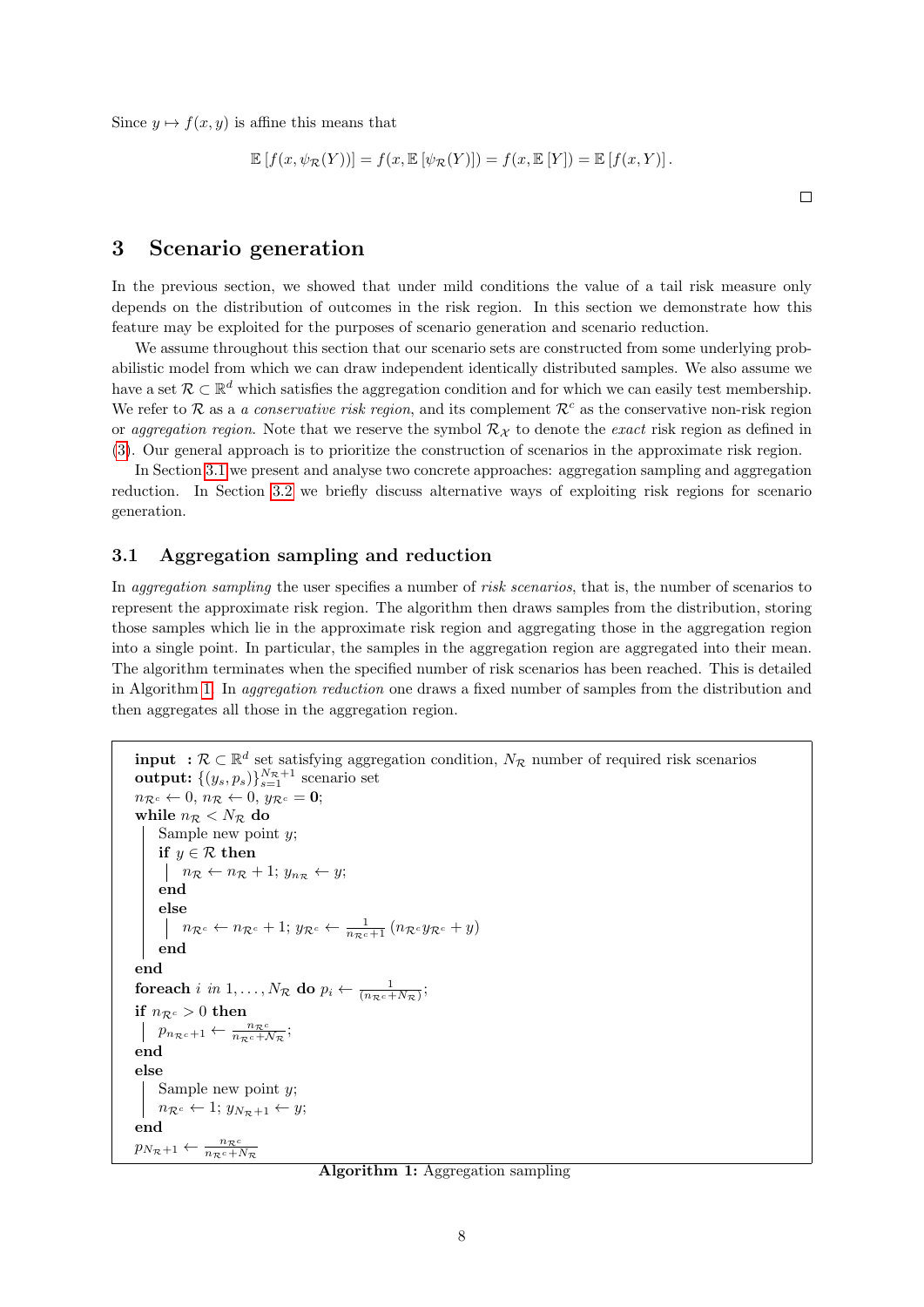Since  $y \mapsto f(x, y)$  is affine this means that

$$
\mathbb{E}[f(x,\psi_{\mathcal{R}}(Y))] = f(x,\mathbb{E}[\psi_{\mathcal{R}}(Y)]) = f(x,\mathbb{E}[Y]) = \mathbb{E}[f(x,Y)].
$$

 $\Box$ 

# <span id="page-7-0"></span>3 Scenario generation

In the previous section, we showed that under mild conditions the value of a tail risk measure only depends on the distribution of outcomes in the risk region. In this section we demonstrate how this feature may be exploited for the purposes of scenario generation and scenario reduction.

We assume throughout this section that our scenario sets are constructed from some underlying probabilistic model from which we can draw independent identically distributed samples. We also assume we have a set  $\mathcal{R} \subset \mathbb{R}^d$  which satisfies the aggregation condition and for which we can easily test membership. We refer to R as a *a conservative risk region*, and its complement  $\mathcal{R}^c$  as the conservative non-risk region or aggregation region. Note that we reserve the symbol  $\mathcal{R}_{\mathcal{X}}$  to denote the exact risk region as defined in [\(3\)](#page-4-4). Our general approach is to prioritize the construction of scenarios in the approximate risk region.

In Section [3.1](#page-7-1) we present and analyse two concrete approaches: aggregation sampling and aggregation reduction. In Section [3.2](#page-8-0) we briefly discuss alternative ways of exploiting risk regions for scenario generation.

#### <span id="page-7-1"></span>3.1 Aggregation sampling and reduction

In *aggregation sampling* the user specifies a number of *risk scenarios*, that is, the number of scenarios to represent the approximate risk region. The algorithm then draws samples from the distribution, storing those samples which lie in the approximate risk region and aggregating those in the aggregation region into a single point. In particular, the samples in the aggregation region are aggregated into their mean. The algorithm terminates when the specified number of risk scenarios has been reached. This is detailed in Algorithm [1.](#page-7-2) In *aggregation reduction* one draws a fixed number of samples from the distribution and then aggregates all those in the aggregation region.

```
input : \mathcal{R} \subset \mathbb{R}^d set satisfying aggregation condition, N_{\mathcal{R}} number of required risk scenarios
 output: \{(y_s, p_s)\}_{s=1}^{N_{\mathcal{R}}+1} scenario set
n_{\mathcal{R}^c} \leftarrow 0, n_{\mathcal{R}} \leftarrow 0, y_{\mathcal{R}^c} = 0;while n_R < N_R do
       Sample new point y;
       if y \in \mathcal{R} then
         \left| \begin{array}{l} n_{\mathcal{R}} \leftarrow n_{\mathcal{R}} + 1; y_{n_{\mathcal{R}}} \leftarrow y; \end{array} \right|end
       else
                n_{\mathcal{R}^c} \leftarrow n_{\mathcal{R}^c} + 1; y_{\mathcal{R}^c} \leftarrow \frac{1}{n_{\mathcal{R}^c} + 1} (n_{\mathcal{R}^c} y_{\mathcal{R}^c} + y)end
end
 foreach i in 1,\ldots,N_\mathcal{R} do p_i \leftarrow \frac{1}{(n_\mathcal{R} c + N_\mathcal{R})};if n_{\mathcal{R}^c} > 0 then
        p_{n_{\mathcal{R}}c+1} \leftarrow \frac{n_{\mathcal{R}}c}{n_{\mathcal{R}}c + \mathcal{N}_{\mathcal{R}}};end
else
       Sample new point y;
       n_{\mathcal{R}^c} \leftarrow 1; y_{N_{\mathcal{R}}+1} \leftarrow y;
end
```

```
p_{N_{\mathcal{R}}+1} \leftarrow \frac{n_{\mathcal{R}^c}}{n_{\mathcal{R}^c} + N_{\mathcal{R}}}
```
<span id="page-7-2"></span>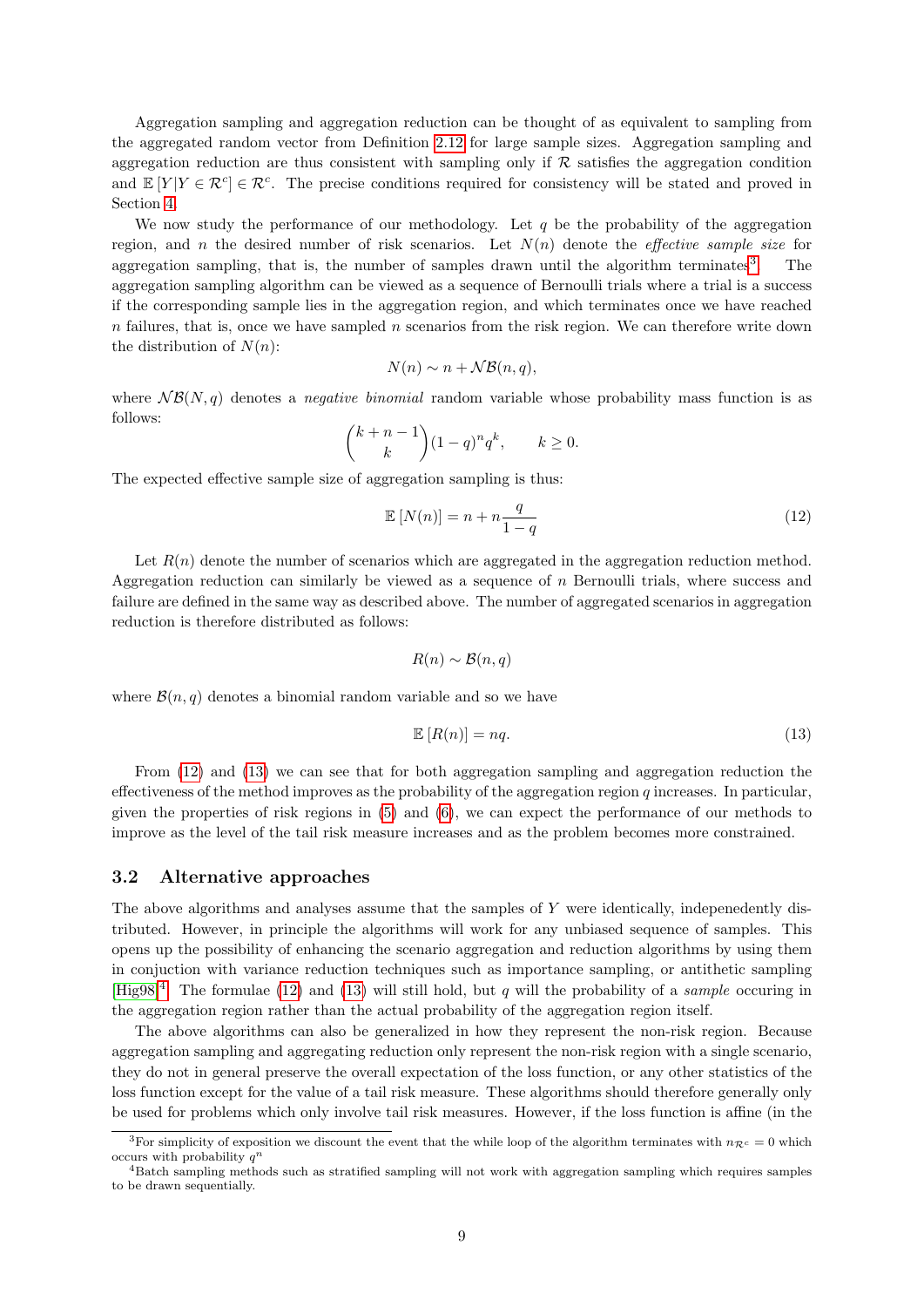Aggregation sampling and aggregation reduction can be thought of as equivalent to sampling from the aggregated random vector from Definition [2.12](#page-6-2) for large sample sizes. Aggregation sampling and aggregation reduction are thus consistent with sampling only if  $\mathcal R$  satisfies the aggregation condition and  $\mathbb{E}[Y|Y \in \mathcal{R}^c] \in \mathcal{R}^c$ . The precise conditions required for consistency will be stated and proved in Section [4.](#page-9-0)

We now study the performance of our methodology. Let  $q$  be the probability of the aggregation region, and n the desired number of risk scenarios. Let  $N(n)$  denote the *effective sample size* for aggregation sampling, that is, the number of samples drawn until the algorithm terminates<sup>[3](#page-8-1)</sup>. . The aggregation sampling algorithm can be viewed as a sequence of Bernoulli trials where a trial is a success if the corresponding sample lies in the aggregation region, and which terminates once we have reached  $n$  failures, that is, once we have sampled  $n$  scenarios from the risk region. We can therefore write down the distribution of  $N(n)$ :

$$
N(n) \sim n + \mathcal{NB}(n, q),
$$

where  $N\mathcal{B}(N,q)$  denotes a *negative binomial* random variable whose probability mass function is as follows:

$$
\binom{k+n-1}{k}(1-q)^n q^k, \qquad k \ge 0.
$$

The expected effective sample size of aggregation sampling is thus:

<span id="page-8-2"></span>
$$
\mathbb{E}\left[N(n)\right] = n + n\frac{q}{1-q} \tag{12}
$$

Let  $R(n)$  denote the number of scenarios which are aggregated in the aggregation reduction method. Aggregation reduction can similarly be viewed as a sequence of  $n$  Bernoulli trials, where success and failure are defined in the same way as described above. The number of aggregated scenarios in aggregation reduction is therefore distributed as follows:

$$
R(n) \sim \mathcal{B}(n, q)
$$

where  $\mathcal{B}(n, q)$  denotes a binomial random variable and so we have

<span id="page-8-3"></span>
$$
\mathbb{E}\left[R(n)\right] = nq.\tag{13}
$$

From [\(12\)](#page-8-2) and [\(13\)](#page-8-3) we can see that for both aggregation sampling and aggregation reduction the effectiveness of the method improves as the probability of the aggregation region q increases. In particular, given the properties of risk regions in [\(5\)](#page-4-5) and [\(6\)](#page-4-6), we can expect the performance of our methods to improve as the level of the tail risk measure increases and as the problem becomes more constrained.

### <span id="page-8-0"></span>3.2 Alternative approaches

The above algorithms and analyses assume that the samples of Y were identically, indepenedently distributed. However, in principle the algorithms will work for any unbiased sequence of samples. This opens up the possibility of enhancing the scenario aggregation and reduction algorithms by using them in conjuction with variance reduction techniques such as importance sampling, or antithetic sampling [\[Hig98\]](#page-20-7)<sup>[4](#page-8-4)</sup>. The formulae [\(12\)](#page-8-2) and [\(13\)](#page-8-3) will still hold, but q will the probability of a *sample* occuring in the aggregation region rather than the actual probability of the aggregation region itself.

The above algorithms can also be generalized in how they represent the non-risk region. Because aggregation sampling and aggregating reduction only represent the non-risk region with a single scenario, they do not in general preserve the overall expectation of the loss function, or any other statistics of the loss function except for the value of a tail risk measure. These algorithms should therefore generally only be used for problems which only involve tail risk measures. However, if the loss function is affine (in the

<span id="page-8-1"></span><sup>&</sup>lt;sup>3</sup>For simplicity of exposition we discount the event that the while loop of the algorithm terminates with  $n_{\mathcal{R}^c} = 0$  which occurs with probability  $q^n$ 

<span id="page-8-4"></span><sup>4</sup>Batch sampling methods such as stratified sampling will not work with aggregation sampling which requires samples to be drawn sequentially.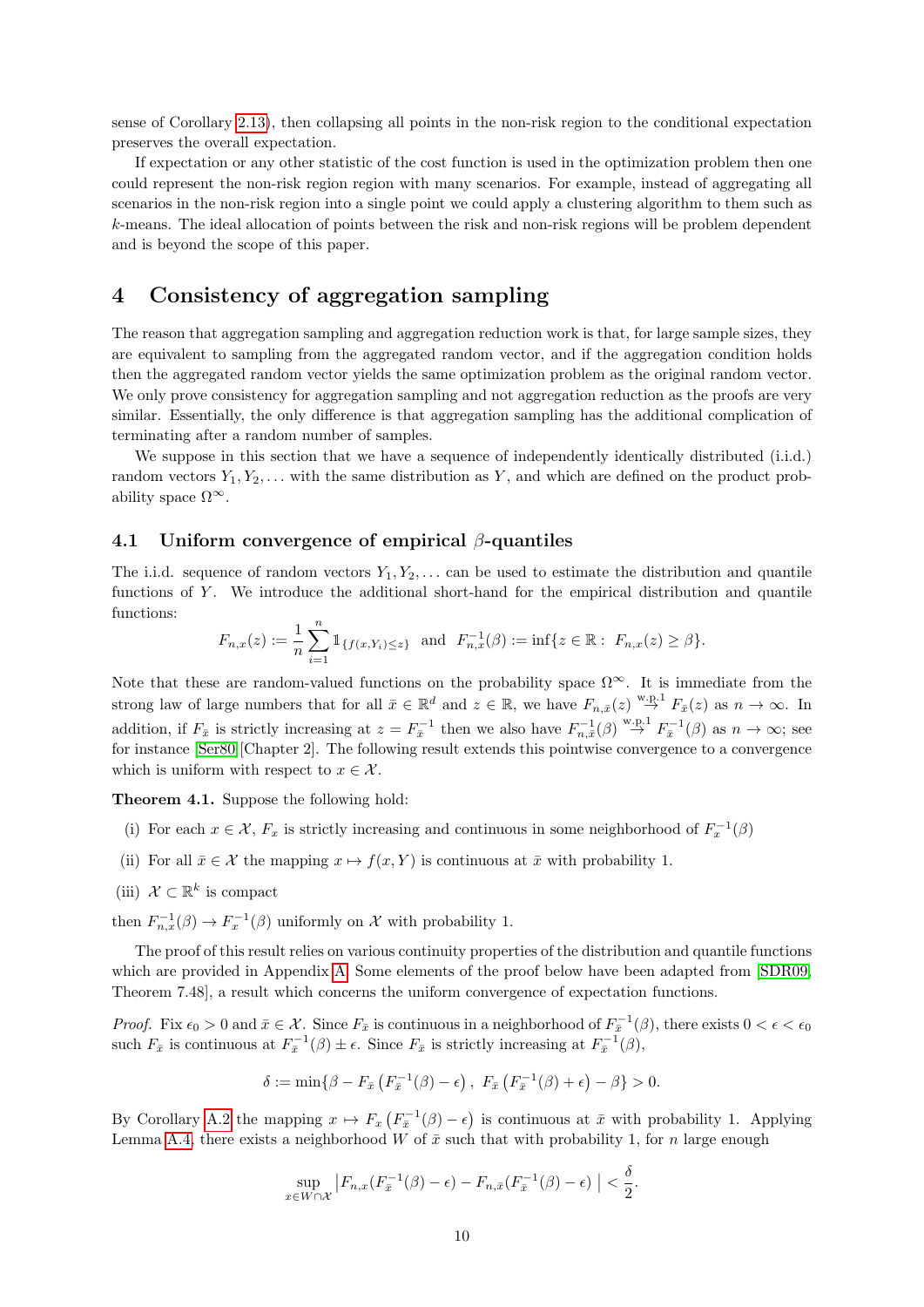sense of Corollary [2.13\)](#page-6-3), then collapsing all points in the non-risk region to the conditional expectation preserves the overall expectation.

If expectation or any other statistic of the cost function is used in the optimization problem then one could represent the non-risk region region with many scenarios. For example, instead of aggregating all scenarios in the non-risk region into a single point we could apply a clustering algorithm to them such as k-means. The ideal allocation of points between the risk and non-risk regions will be problem dependent and is beyond the scope of this paper.

# <span id="page-9-0"></span>4 Consistency of aggregation sampling

The reason that aggregation sampling and aggregation reduction work is that, for large sample sizes, they are equivalent to sampling from the aggregated random vector, and if the aggregation condition holds then the aggregated random vector yields the same optimization problem as the original random vector. We only prove consistency for aggregation sampling and not aggregation reduction as the proofs are very similar. Essentially, the only difference is that aggregation sampling has the additional complication of terminating after a random number of samples.

We suppose in this section that we have a sequence of independently identically distributed (i.i.d.) random vectors  $Y_1, Y_2, \ldots$  with the same distribution as Y, and which are defined on the product probability space  $\Omega^{\infty}$ .

### 4.1 Uniform convergence of empirical  $\beta$ -quantiles

The i.i.d. sequence of random vectors  $Y_1, Y_2, \ldots$  can be used to estimate the distribution and quantile functions of Y. We introduce the additional short-hand for the empirical distribution and quantile functions:

$$
F_{n,x}(z) := \frac{1}{n} \sum_{i=1}^n \mathbb{1}_{\{f(x,Y_i) \le z\}} \text{ and } F_{n,x}^{-1}(\beta) := \inf\{z \in \mathbb{R} : F_{n,x}(z) \ge \beta\}.
$$

Note that these are random-valued functions on the probability space  $\Omega^{\infty}$ . It is immediate from the strong law of large numbers that for all  $\bar{x} \in \mathbb{R}^d$  and  $z \in \mathbb{R}$ , we have  $F_{n,\bar{x}}(z) \stackrel{\text{w.p.1}}{\rightarrow} F_{\bar{x}}(z)$  as  $n \to \infty$ . In addition, if  $F_{\bar{x}}$  is strictly increasing at  $z = F_{\bar{x}}^{-1}$  then we also have  $F_{n,\bar{x}}^{-1}(\beta) \stackrel{w.p.1}{\rightarrow} F_{\bar{x}}^{-1}(\beta)$  as  $n \to \infty$ ; see for instance [\[Ser80\]](#page-21-16)[Chapter 2]. The following result extends this pointwise convergence to a convergence which is uniform with respect to  $x \in \mathcal{X}$ .

<span id="page-9-1"></span>Theorem 4.1. Suppose the following hold:

- (i) For each  $x \in \mathcal{X}$ ,  $F_x$  is strictly increasing and continuous in some neighborhood of  $F_x^{-1}(\beta)$
- (ii) For all  $\bar{x} \in \mathcal{X}$  the mapping  $x \mapsto f(x, Y)$  is continuous at  $\bar{x}$  with probability 1.
- (iii)  $\mathcal{X} \subset \mathbb{R}^k$  is compact

then  $F_{n,x}^{-1}(\beta) \to F_x^{-1}(\beta)$  uniformly on X with probability 1.

The proof of this result relies on various continuity properties of the distribution and quantile functions which are provided in Appendix [A.](#page-22-2) Some elements of the proof below have been adapted from [\[SDR09,](#page-21-17) Theorem 7.48], a result which concerns the uniform convergence of expectation functions.

*Proof.* Fix  $\epsilon_0 > 0$  and  $\bar{x} \in \mathcal{X}$ . Since  $F_{\bar{x}}$  is continuous in a neighborhood of  $F_{\bar{x}}^{-1}(\beta)$ , there exists  $0 < \epsilon < \epsilon_0$ such  $F_{\bar{x}}$  is continuous at  $F_{\bar{x}}^{-1}(\beta) \pm \epsilon$ . Since  $F_{\bar{x}}$  is strictly increasing at  $F_{\bar{x}}^{-1}(\beta)$ ,

$$
\delta := \min\{\beta - F_{\bar{x}}\left(F_{\bar{x}}^{-1}(\beta) - \epsilon\right), F_{\bar{x}}\left(F_{\bar{x}}^{-1}(\beta) + \epsilon\right) - \beta\} > 0.
$$

By Corollary [A.2](#page-22-3) the mapping  $x \mapsto F_x\left(F_{\bar{x}}^{-1}(\beta) - \epsilon\right)$  is continuous at  $\bar{x}$  with probability 1. Applying Lemma [A.4,](#page-23-0) there exists a neighborhood W of  $\bar{x}$  such that with probability 1, for n large enough

$$
\sup_{x \in W \cap \mathcal{X}} \left| F_{n,x}(F_{\bar{x}}^{-1}(\beta) - \epsilon) - F_{n,\bar{x}}(F_{\bar{x}}^{-1}(\beta) - \epsilon) \right| < \frac{\delta}{2}.
$$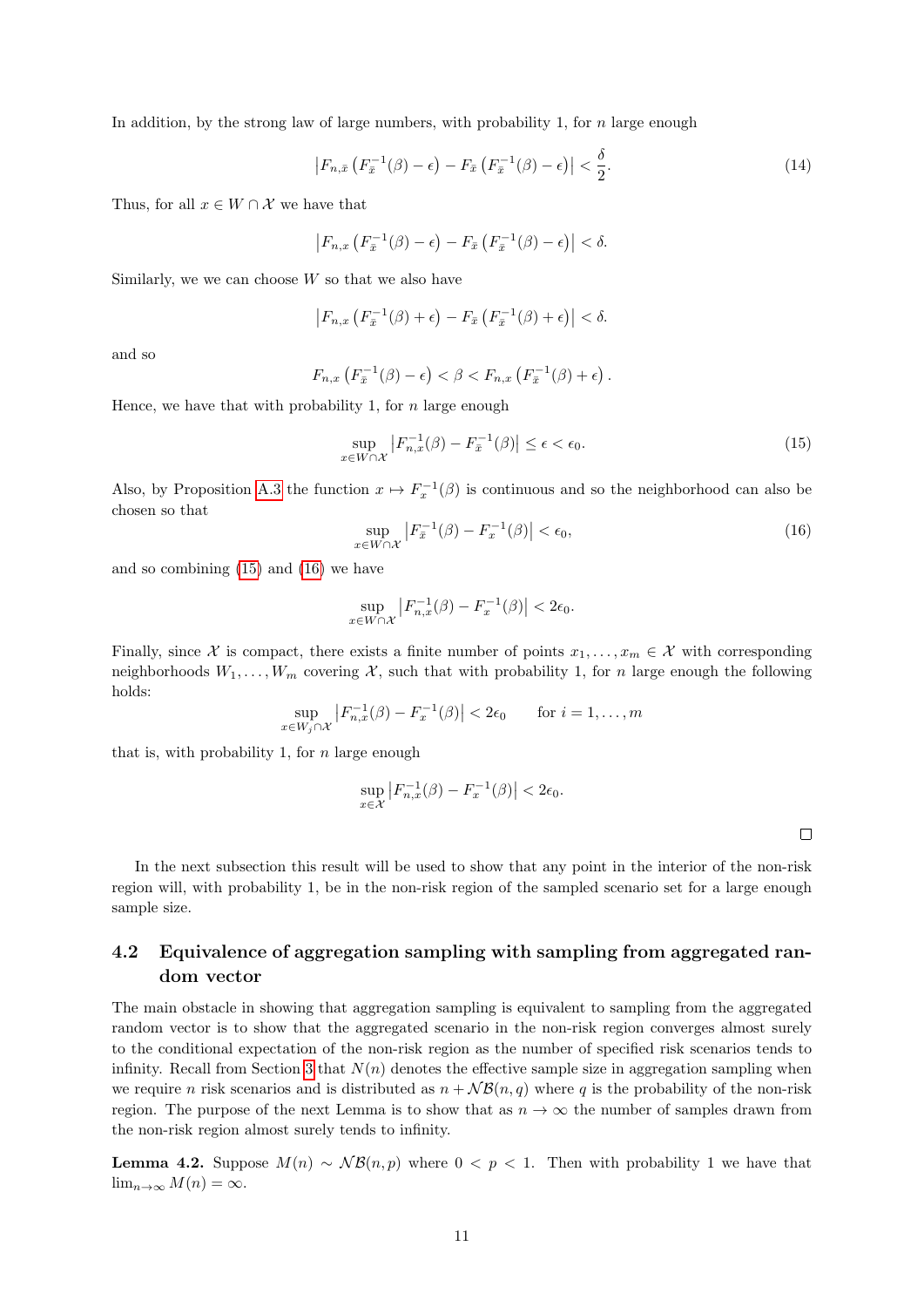In addition, by the strong law of large numbers, with probability 1, for  $n$  large enough

$$
\left|F_{n,\bar{x}}\left(F_{\bar{x}}^{-1}(\beta)-\epsilon\right)-F_{\bar{x}}\left(F_{\bar{x}}^{-1}(\beta)-\epsilon\right)\right|<\frac{\delta}{2}.\tag{14}
$$

Thus, for all  $x \in W \cap \mathcal{X}$  we have that

$$
\left|F_{n,x}\left(F_{\overline{x}}^{-1}(\beta)-\epsilon\right)-F_{\overline{x}}\left(F_{\overline{x}}^{-1}(\beta)-\epsilon\right)\right|<\delta.
$$

Similarly, we we can choose  $W$  so that we also have

$$
\left|F_{n,x}\left(F_{\bar{x}}^{-1}(\beta)+\epsilon\right)-F_{\bar{x}}\left(F_{\bar{x}}^{-1}(\beta)+\epsilon\right)\right|<\delta.
$$

and so

$$
F_{n,x}\left(F_{\bar{x}}^{-1}(\beta)-\epsilon\right)<\beta< F_{n,x}\left(F_{\bar{x}}^{-1}(\beta)+\epsilon\right).
$$

Hence, we have that with probability 1, for  $n$  large enough

<span id="page-10-0"></span>
$$
\sup_{x \in W \cap \mathcal{X}} \left| F_{n,x}^{-1}(\beta) - F_{\overline{x}}^{-1}(\beta) \right| \le \epsilon < \epsilon_0. \tag{15}
$$

Also, by Proposition [A.3](#page-22-4) the function  $x \mapsto F_x^{-1}(\beta)$  is continuous and so the neighborhood can also be chosen so that

<span id="page-10-1"></span>
$$
\sup_{x \in W \cap \mathcal{X}} \left| F_{\bar{x}}^{-1}(\beta) - F_x^{-1}(\beta) \right| < \epsilon_0,\tag{16}
$$

and so combining [\(15\)](#page-10-0) and [\(16\)](#page-10-1) we have

$$
\sup_{x \in W \cap \mathcal{X}} \left| F_{n,x}^{-1}(\beta) - F_x^{-1}(\beta) \right| < 2\epsilon_0.
$$

Finally, since X is compact, there exists a finite number of points  $x_1, \ldots, x_m \in \mathcal{X}$  with corresponding neighborhoods  $W_1, \ldots, W_m$  covering X, such that with probability 1, for n large enough the following holds:

$$
\sup_{x \in W_j \cap \mathcal{X}} \left| F_{n,x}^{-1}(\beta) - F_x^{-1}(\beta) \right| < 2\epsilon_0 \qquad \text{for } i = 1, \dots, m
$$

that is, with probability 1, for  $n$  large enough

 $\boldsymbol{\mathcal{X}}$ 

$$
\sup_{x \in \mathcal{X}} \left| F_{n,x}^{-1}(\beta) - F_x^{-1}(\beta) \right| < 2\epsilon_0.
$$

 $\Box$ 

In the next subsection this result will be used to show that any point in the interior of the non-risk region will, with probability 1, be in the non-risk region of the sampled scenario set for a large enough sample size.

### 4.2 Equivalence of aggregation sampling with sampling from aggregated random vector

The main obstacle in showing that aggregation sampling is equivalent to sampling from the aggregated random vector is to show that the aggregated scenario in the non-risk region converges almost surely to the conditional expectation of the non-risk region as the number of specified risk scenarios tends to infinity. Recall from Section [3](#page-7-0) that  $N(n)$  denotes the effective sample size in aggregation sampling when we require n risk scenarios and is distributed as  $n + \mathcal{NB}(n, q)$  where q is the probability of the non-risk region. The purpose of the next Lemma is to show that as  $n \to \infty$  the number of samples drawn from the non-risk region almost surely tends to infinity.

<span id="page-10-2"></span>**Lemma 4.2.** Suppose  $M(n) \sim NB(n, p)$  where  $0 \lt p \lt 1$ . Then with probability 1 we have that  $\lim_{n\to\infty} M(n) = \infty.$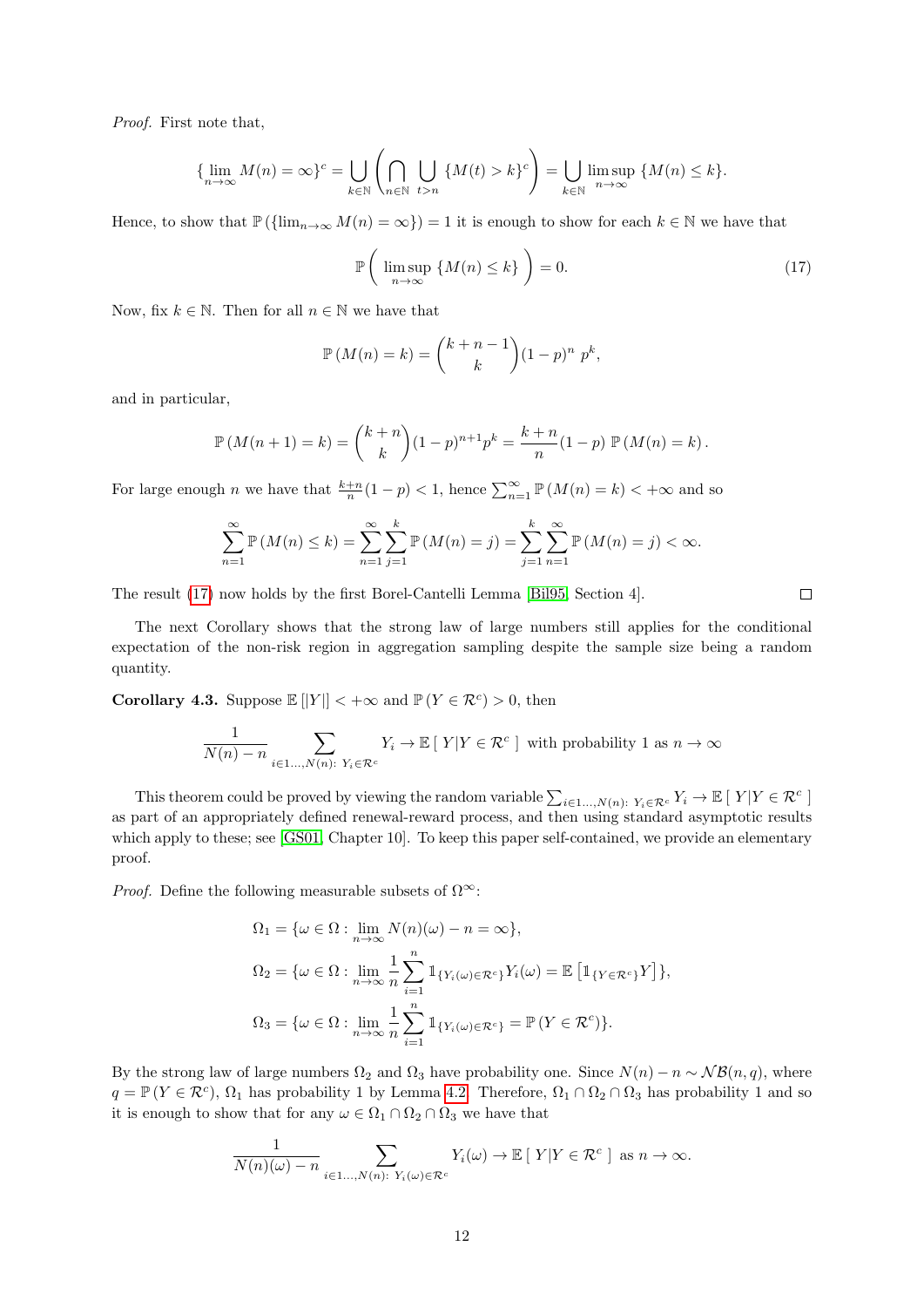Proof. First note that,

$$
\{\lim_{n\to\infty} M(n) = \infty\}^c = \bigcup_{k\in\mathbb{N}} \left(\bigcap_{n\in\mathbb{N}} \bigcup_{t>n} \{M(t) > k\}^c\right) = \bigcup_{k\in\mathbb{N}} \limsup_{n\to\infty} \{M(n) \le k\}.
$$

Hence, to show that  $\mathbb{P}(\{\lim_{n\to\infty}M(n)=\infty\})=1$  it is enough to show for each  $k\in\mathbb{N}$  we have that

<span id="page-11-0"></span>
$$
\mathbb{P}\left(\limsup_{n\to\infty} \left\{M(n)\leq k\right\}\right)=0.\tag{17}
$$

Now, fix  $k \in \mathbb{N}$ . Then for all  $n \in \mathbb{N}$  we have that

$$
\mathbb{P}(M(n) = k) = {k+n-1 \choose k} (1-p)^n p^k,
$$

and in particular,

$$
\mathbb{P}(M(n+1) = k) = {k+n \choose k} (1-p)^{n+1} p^k = \frac{k+n}{n} (1-p) \mathbb{P}(M(n) = k).
$$

For large enough n we have that  $\frac{k+n}{n}(1-p) < 1$ , hence  $\sum_{n=1}^{\infty} \mathbb{P}(M(n) = k) < +\infty$  and so

$$
\sum_{n=1}^{\infty} \mathbb{P}(M(n) \le k) = \sum_{n=1}^{\infty} \sum_{j=1}^{k} \mathbb{P}(M(n) = j) = \sum_{j=1}^{k} \sum_{n=1}^{\infty} \mathbb{P}(M(n) = j) < \infty.
$$

The result [\(17\)](#page-11-0) now holds by the first Borel-Cantelli Lemma [\[Bil95,](#page-20-3) Section 4].

The next Corollary shows that the strong law of large numbers still applies for the conditional expectation of the non-risk region in aggregation sampling despite the sample size being a random quantity.

<span id="page-11-1"></span>**Corollary 4.3.** Suppose  $\mathbb{E}[|Y|] < +\infty$  and  $\mathbb{P}(Y \in \mathcal{R}^c) > 0$ , then

$$
\frac{1}{N(n)-n}\sum_{i\in 1\dots,N(n):\ Y_i\in \mathcal{R}^c}Y_i\to \mathbb{E}\left[\ Y\middle| Y\in \mathcal{R}^c\ \right]\ \text{with probability}\ 1\ \text{as}\ n\to\infty
$$

This theorem could be proved by viewing the random variable  $\sum_{i\in 1...,N(n)}$ :  $Y_i \in \mathcal{R}^c$   $Y_i \to \mathbb{E}$  [  $Y|Y \in \mathcal{R}^c$  ] as part of an appropriately defined renewal-reward process, and then using standard asymptotic results which apply to these; see [\[GS01,](#page-20-8) Chapter 10]. To keep this paper self-contained, we provide an elementary proof.

*Proof.* Define the following measurable subsets of  $\Omega^{\infty}$ :

$$
\Omega_1 = \{ \omega \in \Omega : \lim_{n \to \infty} N(n)(\omega) - n = \infty \},
$$
  
\n
$$
\Omega_2 = \{ \omega \in \Omega : \lim_{n \to \infty} \frac{1}{n} \sum_{i=1}^n \mathbb{1}_{\{Y_i(\omega) \in \mathcal{R}^c\}} Y_i(\omega) = \mathbb{E} \left[ \mathbb{1}_{\{Y \in \mathcal{R}^c\}} Y \right] \},
$$
  
\n
$$
\Omega_3 = \{ \omega \in \Omega : \lim_{n \to \infty} \frac{1}{n} \sum_{i=1}^n \mathbb{1}_{\{Y_i(\omega) \in \mathcal{R}^c\}} = \mathbb{P} \left( Y \in \mathcal{R}^c \right) \}.
$$

By the strong law of large numbers  $\Omega_2$  and  $\Omega_3$  have probability one. Since  $N(n) - n \sim \mathcal{NB}(n, q)$ , where  $q = \mathbb{P}(Y \in \mathcal{R}^c)$ ,  $\Omega_1$  has probability 1 by Lemma [4.2.](#page-10-2) Therefore,  $\Omega_1 \cap \Omega_2 \cap \Omega_3$  has probability 1 and so it is enough to show that for any  $\omega \in \Omega_1 \cap \Omega_2 \cap \Omega_3$  we have that

$$
\frac{1}{N(n)(\omega)-n} \sum_{i \in 1 \dots, N(n): Y_i(\omega) \in \mathcal{R}^c} Y_i(\omega) \to \mathbb{E} \left[ Y \middle| Y \in \mathcal{R}^c \right] \text{ as } n \to \infty.
$$

 $\Box$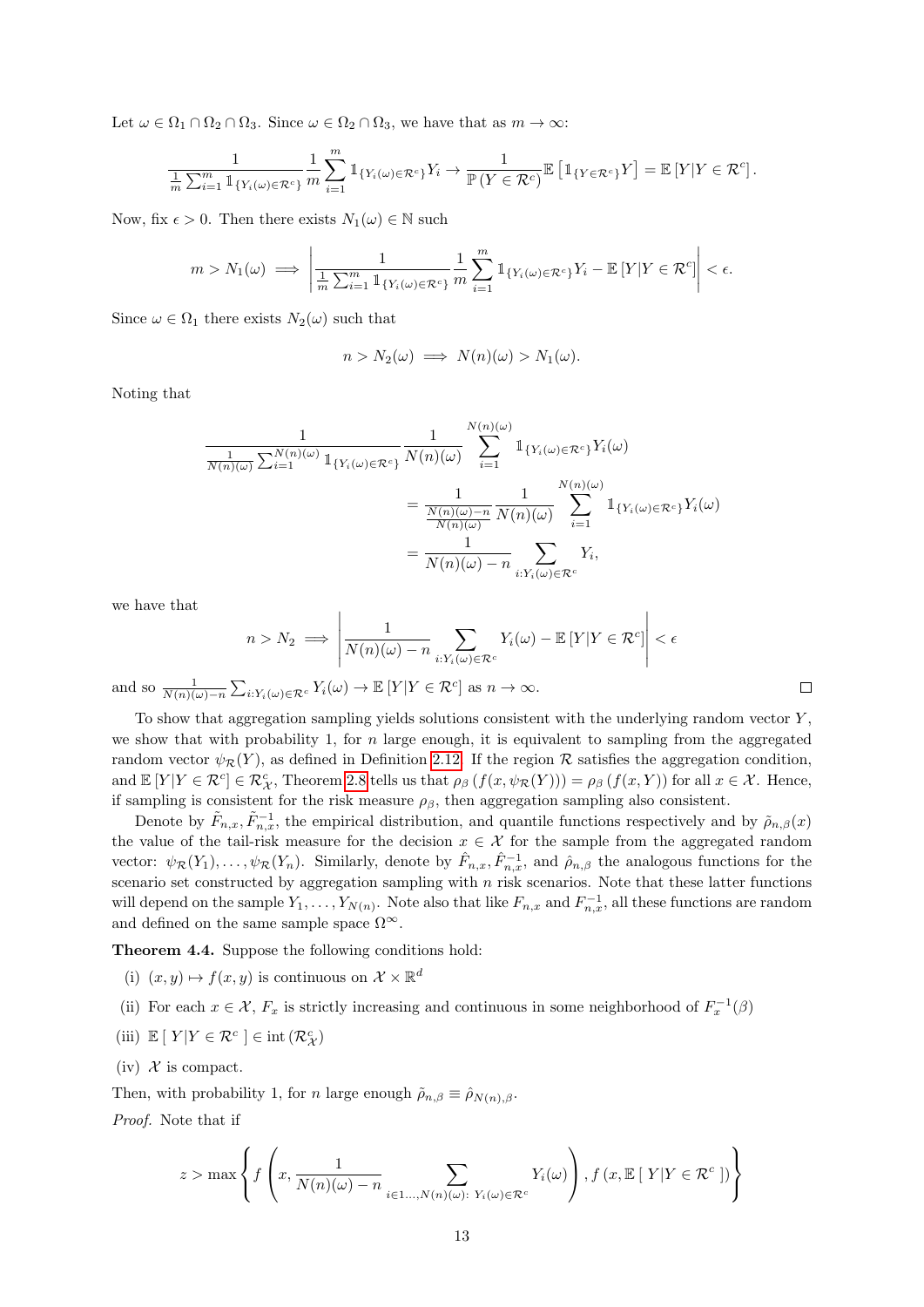Let  $\omega \in \Omega_1 \cap \Omega_2 \cap \Omega_3$ . Since  $\omega \in \Omega_2 \cap \Omega_3$ , we have that as  $m \to \infty$ :

$$
\frac{1}{\frac{1}{m}\sum_{i=1}^m \mathbb{1}_{\{Y_i(\omega)\in\mathcal{R}^c\}}}\frac{1}{m}\sum_{i=1}^m \mathbb{1}_{\{Y_i(\omega)\in\mathcal{R}^c\}}Y_i \to \frac{1}{\mathbb{P}(Y\in\mathcal{R}^c)}\mathbb{E}\left[\mathbb{1}_{\{Y\in\mathcal{R}^c\}}Y\right] = \mathbb{E}\left[Y|Y\in\mathcal{R}^c\right].
$$

Now, fix  $\epsilon > 0$ . Then there exists  $N_1(\omega) \in \mathbb{N}$  such

$$
m > N_1(\omega) \implies \left| \frac{1}{\frac{1}{m} \sum_{i=1}^m \mathbb{1}_{\{Y_i(\omega) \in \mathcal{R}^c\}}} \frac{1}{m} \sum_{i=1}^m \mathbb{1}_{\{Y_i(\omega) \in \mathcal{R}^c\}} Y_i - \mathbb{E}\left[Y | Y \in \mathcal{R}^c\right] \right| < \epsilon.
$$

Since  $\omega \in \Omega_1$  there exists  $N_2(\omega)$  such that

$$
n > N_2(\omega) \implies N(n)(\omega) > N_1(\omega).
$$

Noting that

$$
\frac{1}{\frac{1}{N(n)(\omega)}\sum_{i=1}^{N(n)(\omega)}\mathbb{1}_{\{Y_i(\omega)\in\mathcal{R}^c\}}}\frac{1}{N(n)(\omega)}\sum_{i=1}^{N(n)(\omega)}\mathbb{1}_{\{Y_i(\omega)\in\mathcal{R}^c\}}Y_i(\omega)
$$

$$
=\frac{1}{\frac{N(n)(\omega)-n}{N(n)(\omega)}}\frac{1}{N(n)(\omega)}\sum_{i=1}^{N(n)(\omega)}\mathbb{1}_{\{Y_i(\omega)\in\mathcal{R}^c\}}Y_i(\omega)
$$

$$
=\frac{1}{N(n)(\omega)-n}\sum_{i:Y_i(\omega)\in\mathcal{R}^c}Y_i,
$$

we have that

$$
n > N_2 \implies \left| \frac{1}{N(n)(\omega) - n} \sum_{i: Y_i(\omega) \in \mathcal{R}^c} Y_i(\omega) - \mathbb{E}[Y|Y \in \mathcal{R}^c] \right| < \epsilon
$$

 $\Box$ 

and so  $\frac{1}{N(n)(\omega)-n} \sum_{i:Y_i(\omega) \in \mathcal{R}^c} Y_i(\omega) \to \mathbb{E}[Y|Y \in \mathcal{R}^c]$  as  $n \to \infty$ .

To show that aggregation sampling yields solutions consistent with the underlying random vector  $Y$ , we show that with probability 1, for n large enough, it is equivalent to sampling from the aggregated random vector  $\psi_{\mathcal{R}}(Y)$ , as defined in Definition [2.12.](#page-6-2) If the region R satisfies the aggregation condition, and  $\mathbb{E}[Y|Y \in \mathcal{R}^c] \in \mathcal{R}_{\mathcal{X}}^c$ , Theorem [2.8](#page-4-0) tells us that  $\rho_\beta(f(x,\psi_{\mathcal{R}}(Y))) = \rho_\beta(f(x,Y))$  for all  $x \in \mathcal{X}$ . Hence, if sampling is consistent for the risk measure  $\rho_{\beta}$ , then aggregation sampling also consistent.

Denote by  $\tilde{F}_{n,x}, \tilde{F}_{n,x}^{-1}$ , the empirical distribution, and quantile functions respectively and by  $\tilde{\rho}_{n,\beta}(x)$ the value of the tail-risk measure for the decision  $x \in \mathcal{X}$  for the sample from the aggregated random vector:  $\psi_{\mathcal{R}}(Y_1), \ldots, \psi_{\mathcal{R}}(Y_n)$ . Similarly, denote by  $\hat{F}_{n,x}, \hat{F}_{n,x}^{-1}$ , and  $\hat{\rho}_{n,\beta}$  the analogous functions for the scenario set constructed by aggregation sampling with  $n$  risk scenarios. Note that these latter functions will depend on the sample  $Y_1, \ldots, Y_{N(n)}$ . Note also that like  $F_{n,x}$  and  $F_{n,x}^{-1}$ , all these functions are random and defined on the same sample space  $\Omega^{\infty}$ .

<span id="page-12-0"></span>Theorem 4.4. Suppose the following conditions hold:

- (i)  $(x, y) \mapsto f(x, y)$  is continuous on  $\mathcal{X} \times \mathbb{R}^d$
- (ii) For each  $x \in \mathcal{X}$ ,  $F_x$  is strictly increasing and continuous in some neighborhood of  $F_x^{-1}(\beta)$
- (iii)  $\mathbb{E} \left[ \left. Y \right \vert Y \in \mathcal{R}^{c} \left. \right] \in \text{int} \left( \mathcal{R}_{\mathcal{X}}^{c} \right)$
- (iv)  $\mathcal X$  is compact.

Then, with probability 1, for *n* large enough  $\tilde{\rho}_{n,\beta} \equiv \hat{\rho}_{N(n),\beta}$ .

Proof. Note that if

$$
z > \max \left\{ f\left(x, \frac{1}{N(n)(\omega) - n} \sum_{i \in 1 \dots, N(n)(\omega): Y_i(\omega) \in \mathcal{R}^c} Y_i(\omega) \right), f(x, \mathbb{E}[Y|Y \in \mathcal{R}^c]) \right\}
$$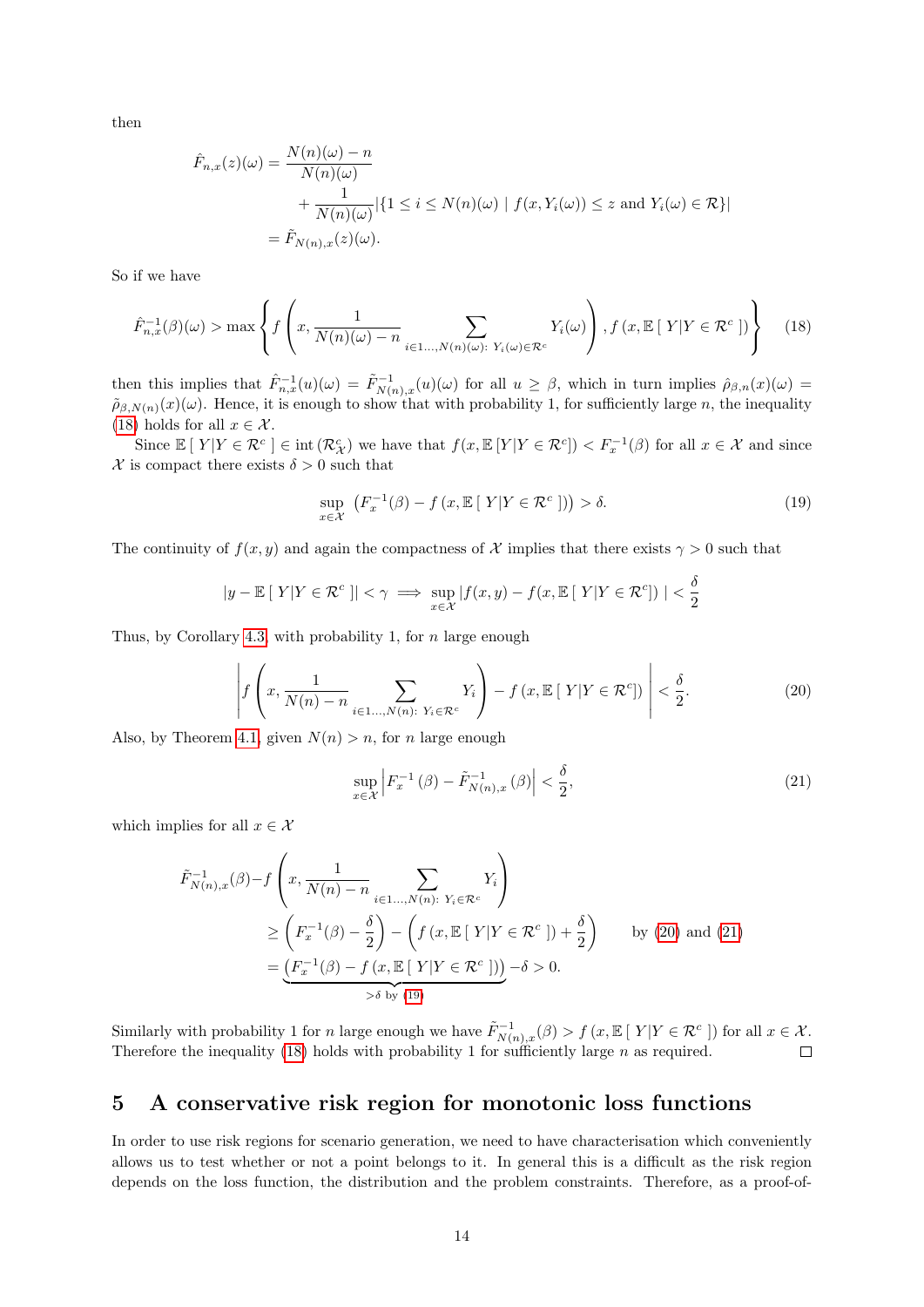then

$$
\hat{F}_{n,x}(z)(\omega) = \frac{N(n)(\omega) - n}{N(n)(\omega)} \n+ \frac{1}{N(n)(\omega)} |\{1 \le i \le N(n)(\omega) \mid f(x, Y_i(\omega)) \le z \text{ and } Y_i(\omega) \in \mathcal{R}\}| \n= \tilde{F}_{N(n),x}(z)(\omega).
$$

So if we have

<span id="page-13-1"></span>
$$
\hat{F}_{n,x}^{-1}(\beta)(\omega) > \max \left\{ f\left(x, \frac{1}{N(n)(\omega) - n} \sum_{i \in 1..., N(n)(\omega): Y_i(\omega) \in \mathcal{R}^c} Y_i(\omega) \right), f(x, \mathbb{E}\left[Y|Y \in \mathcal{R}^c\right] ) \right\} \tag{18}
$$

then this implies that  $\hat{F}_{n,x}^{-1}(u)(\omega) = \tilde{F}_{N(n),x}^{-1}(u)(\omega)$  for all  $u \geq \beta$ , which in turn implies  $\hat{\rho}_{\beta,n}(x)(\omega) =$  $\tilde{\rho}_{\beta,N(n)}(x)(\omega)$ . Hence, it is enough to show that with probability 1, for sufficiently large n, the inequality [\(18\)](#page-13-1) holds for all  $x \in \mathcal{X}$ .

Since  $\mathbb{E}[Y|Y \in \mathcal{R}^c] \in \text{int}(\mathcal{R}_{\mathcal{X}}^c)$  we have that  $f(x, \mathbb{E}[Y|Y \in \mathcal{R}^c]) < F_x^{-1}(\beta)$  for all  $x \in \mathcal{X}$  and since  $\mathcal X$  is compact there exists  $\delta > 0$  such that

<span id="page-13-4"></span>
$$
\sup_{x \in \mathcal{X}} \left( F_x^{-1}(\beta) - f\left(x, \mathbb{E}\left[\left|Y\right|Y \in \mathcal{R}^c\right]\right) \right) > \delta. \tag{19}
$$

The continuity of  $f(x, y)$  and again the compactness of X implies that there exists  $\gamma > 0$  such that

$$
|y - \mathbb{E}[|Y|Y \in \mathcal{R}^c]| < \gamma \implies \sup_{x \in \mathcal{X}} |f(x, y) - f(x, \mathbb{E}[|Y|Y \in \mathcal{R}^c])| < \frac{\delta}{2}
$$

Thus, by Corollary [4.3,](#page-11-1) with probability 1, for  $n$  large enough

<span id="page-13-2"></span>
$$
\left| f\left(x, \frac{1}{N(n)-n} \sum_{i\in 1\ldots,N(n):\ Y_i\in\mathcal{R}^c} Y_i\right) - f\left(x, \mathbb{E}\left[\ Y|Y\in\mathcal{R}^c\right]\right) \right| < \frac{\delta}{2}.
$$
\n
$$
(20)
$$

Also, by Theorem [4.1,](#page-9-1) given  $N(n) > n$ , for n large enough

<span id="page-13-3"></span>
$$
\sup_{x \in \mathcal{X}} \left| F_x^{-1} \left( \beta \right) - \tilde{F}_{N(n),x}^{-1} \left( \beta \right) \right| < \frac{\delta}{2},\tag{21}
$$

which implies for all  $x \in \mathcal{X}$ 

$$
\tilde{F}_{N(n),x}^{-1}(\beta) - f\left(x, \frac{1}{N(n) - n} \sum_{i \in 1..., N(n): Y_i \in \mathcal{R}^c} Y_i\right)
$$
\n
$$
\geq \left(F_x^{-1}(\beta) - \frac{\delta}{2}\right) - \left(f\left(x, \mathbb{E}\left[Y|Y \in \mathcal{R}^c\right]\right) + \frac{\delta}{2}\right) \qquad \text{by (20) and (21)}
$$
\n
$$
= \underbrace{\left(F_x^{-1}(\beta) - f\left(x, \mathbb{E}\left[Y|Y \in \mathcal{R}^c\right]\right)\right)}_{\geq \delta \text{ by (19)}} - \delta > 0.
$$

Similarly with probability 1 for n large enough we have  $\tilde{F}_{N(n),x}^{-1}(\beta) > f(x,\mathbb{E}[Y|Y \in \mathcal{R}^c])$  for all  $x \in \mathcal{X}$ . Therefore the inequality [\(18\)](#page-13-1) holds with probability 1 for sufficiently large  $n$  as required.  $\Box$ 

# <span id="page-13-0"></span>5 A conservative risk region for monotonic loss functions

In order to use risk regions for scenario generation, we need to have characterisation which conveniently allows us to test whether or not a point belongs to it. In general this is a difficult as the risk region depends on the loss function, the distribution and the problem constraints. Therefore, as a proof-of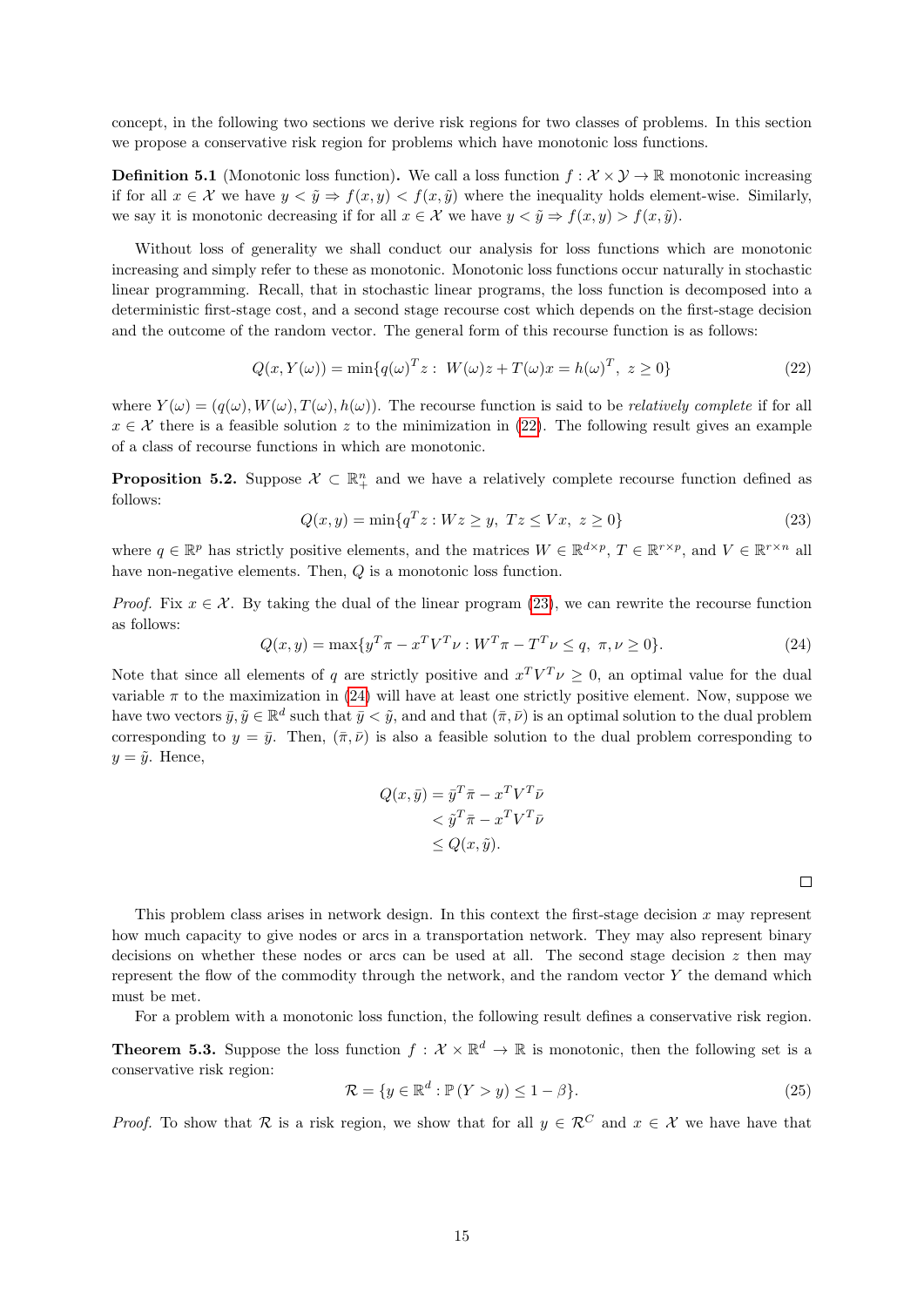concept, in the following two sections we derive risk regions for two classes of problems. In this section we propose a conservative risk region for problems which have monotonic loss functions.

**Definition 5.1** (Monotonic loss function). We call a loss function  $f : \mathcal{X} \times \mathcal{Y} \to \mathbb{R}$  monotonic increasing if for all  $x \in \mathcal{X}$  we have  $y \leq \tilde{y} \Rightarrow f(x, y) \leq f(x, \tilde{y})$  where the inequality holds element-wise. Similarly, we say it is monotonic decreasing if for all  $x \in \mathcal{X}$  we have  $y < \tilde{y} \Rightarrow f(x, y) > f(x, \tilde{y})$ .

Without loss of generality we shall conduct our analysis for loss functions which are monotonic increasing and simply refer to these as monotonic. Monotonic loss functions occur naturally in stochastic linear programming. Recall, that in stochastic linear programs, the loss function is decomposed into a deterministic first-stage cost, and a second stage recourse cost which depends on the first-stage decision and the outcome of the random vector. The general form of this recourse function is as follows:

<span id="page-14-0"></span>
$$
Q(x, Y(\omega)) = \min\{q(\omega)^T z : W(\omega)z + T(\omega)x = h(\omega)^T, z \ge 0\}
$$
\n(22)

where  $Y(\omega) = (q(\omega), W(\omega), T(\omega), h(\omega))$ . The recourse function is said to be *relatively complete* if for all  $x \in \mathcal{X}$  there is a feasible solution z to the minimization in [\(22\)](#page-14-0). The following result gives an example of a class of recourse functions in which are monotonic.

**Proposition 5.2.** Suppose  $\mathcal{X} \subset \mathbb{R}^n_+$  and we have a relatively complete recourse function defined as follows:

<span id="page-14-1"></span>
$$
Q(x, y) = \min\{q^T z : Wz \ge y, \ Tz \le Vx, \ z \ge 0\}
$$
\n(23)

where  $q \in \mathbb{R}^p$  has strictly positive elements, and the matrices  $W \in \mathbb{R}^{d \times p}$ ,  $T \in \mathbb{R}^{r \times p}$ , and  $V \in \mathbb{R}^{r \times n}$  all have non-negative elements. Then, Q is a monotonic loss function.

*Proof.* Fix  $x \in \mathcal{X}$ . By taking the dual of the linear program [\(23\)](#page-14-1), we can rewrite the recourse function as follows:

<span id="page-14-2"></span>
$$
Q(x, y) = \max\{y^T \pi - x^T V^T \nu : W^T \pi - T^T \nu \le q, \ \pi, \nu \ge 0\}.
$$
 (24)

Note that since all elements of q are strictly positive and  $x^T V^T \nu \geq 0$ , an optimal value for the dual variable  $\pi$  to the maximization in [\(24\)](#page-14-2) will have at least one strictly positive element. Now, suppose we have two vectors  $\bar{y}, \tilde{y} \in \mathbb{R}^d$  such that  $\bar{y} < \tilde{y}$ , and and that  $(\bar{\pi}, \bar{\nu})$  is an optimal solution to the dual problem corresponding to  $y = \bar{y}$ . Then,  $(\bar{\pi}, \bar{\nu})$  is also a feasible solution to the dual problem corresponding to  $y = \tilde{y}$ . Hence,

$$
Q(x, \bar{y}) = \bar{y}^T \bar{\pi} - x^T V^T \bar{\nu}
$$
  

$$
< \tilde{y}^T \bar{\pi} - x^T V^T \bar{\nu}
$$
  

$$
\leq Q(x, \tilde{y}).
$$

 $\Box$ 

This problem class arises in network design. In this context the first-stage decision  $x$  may represent how much capacity to give nodes or arcs in a transportation network. They may also represent binary decisions on whether these nodes or arcs can be used at all. The second stage decision  $z$  then may represent the flow of the commodity through the network, and the random vector  $Y$  the demand which must be met.

For a problem with a monotonic loss function, the following result defines a conservative risk region.

**Theorem 5.3.** Suppose the loss function  $f: \mathcal{X} \times \mathbb{R}^d \to \mathbb{R}$  is monotonic, then the following set is a conservative risk region:

$$
\mathcal{R} = \{ y \in \mathbb{R}^d : \mathbb{P}(Y > y) \le 1 - \beta \}. \tag{25}
$$

*Proof.* To show that R is a risk region, we show that for all  $y \in \mathcal{R}^C$  and  $x \in \mathcal{X}$  we have that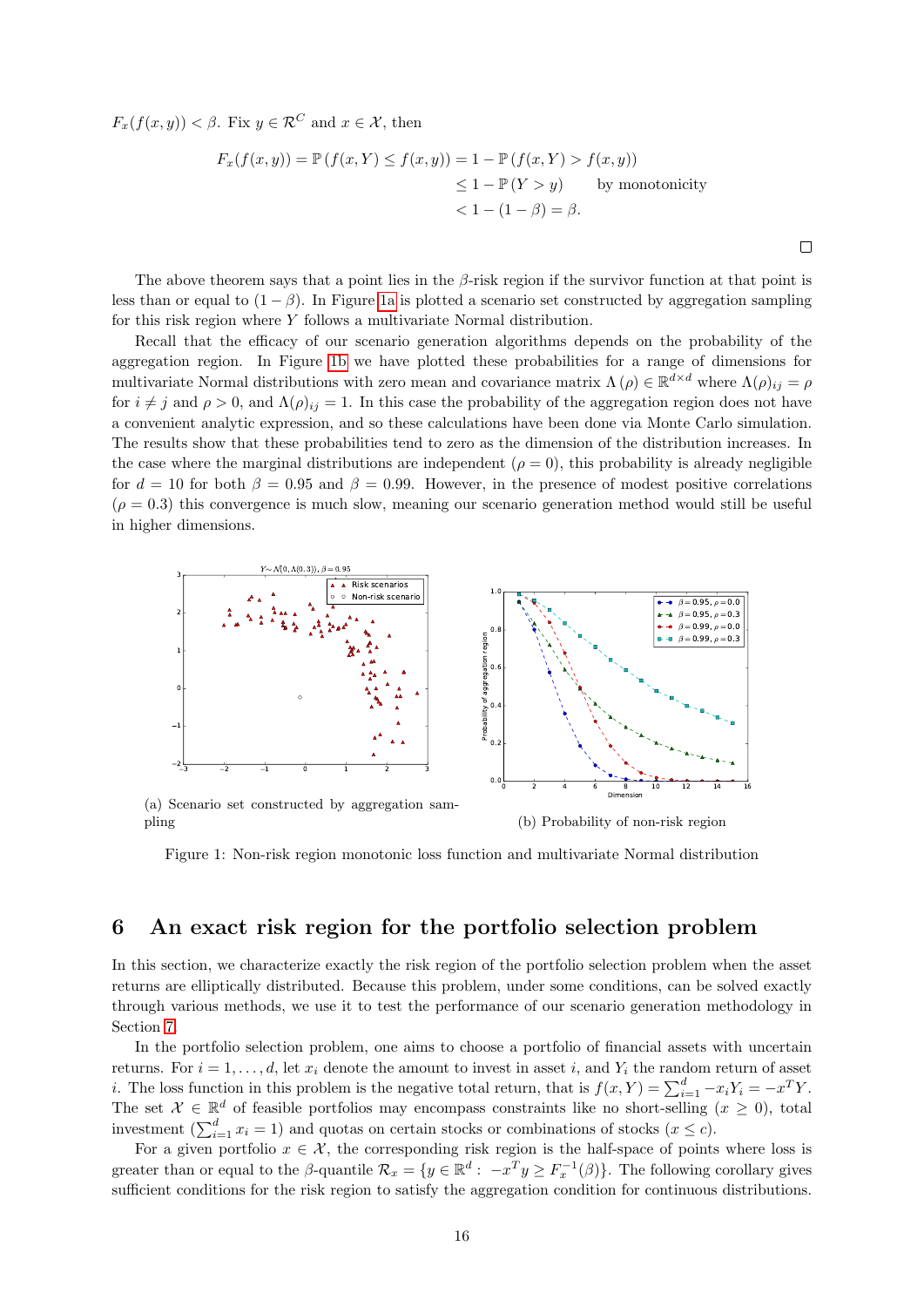$F_x(f(x, y)) < \beta$ . Fix  $y \in \mathcal{R}^C$  and  $x \in \mathcal{X}$ , then

$$
F_x(f(x, y)) = \mathbb{P}(f(x, Y) \le f(x, y)) = 1 - \mathbb{P}(f(x, Y) > f(x, y))
$$
  
\n
$$
\le 1 - \mathbb{P}(Y > y) \qquad \text{by monotonicity}
$$
  
\n
$$
< 1 - (1 - \beta) = \beta.
$$

The above theorem says that a point lies in the  $\beta$ -risk region if the survivor function at that point is less than or equal to  $(1 - \beta)$ . In Figure [1a](#page-15-1) is plotted a scenario set constructed by aggregation sampling for this risk region where Y follows a multivariate Normal distribution.

Recall that the efficacy of our scenario generation algorithms depends on the probability of the aggregation region. In Figure [1b](#page-15-1) we have plotted these probabilities for a range of dimensions for multivariate Normal distributions with zero mean and covariance matrix  $\Lambda(\rho) \in \mathbb{R}^{d \times d}$  where  $\Lambda(\rho)_{ij} = \rho$ for  $i \neq j$  and  $\rho > 0$ , and  $\Lambda(\rho)_{ij} = 1$ . In this case the probability of the aggregation region does not have a convenient analytic expression, and so these calculations have been done via Monte Carlo simulation. The results show that these probabilities tend to zero as the dimension of the distribution increases. In the case where the marginal distributions are independent ( $\rho = 0$ ), this probability is already negligible for  $d = 10$  for both  $\beta = 0.95$  and  $\beta = 0.99$ . However, in the presence of modest positive correlations  $(\rho = 0.3)$  this convergence is much slow, meaning our scenario generation method would still be useful in higher dimensions.

<span id="page-15-1"></span>

(a) Scenario set constructed by aggregation sampling

(b) Probability of non-risk region

 $\Box$ 

Figure 1: Non-risk region monotonic loss function and multivariate Normal distribution

## <span id="page-15-0"></span>6 An exact risk region for the portfolio selection problem

In this section, we characterize exactly the risk region of the portfolio selection problem when the asset returns are elliptically distributed. Because this problem, under some conditions, can be solved exactly through various methods, we use it to test the performance of our scenario generation methodology in Section [7.](#page-18-0)

In the portfolio selection problem, one aims to choose a portfolio of financial assets with uncertain returns. For  $i = 1, \ldots, d$ , let  $x_i$  denote the amount to invest in asset i, and  $Y_i$  the random return of asset *i*. The loss function in this problem is the negative total return, that is  $f(x, Y) = \sum_{i=1}^{d} -x_i Y_i = -x^T Y$ . The set  $\mathcal{X} \in \mathbb{R}^d$  of feasible portfolios may encompass constraints like no short-selling  $(x \geq 0)$ , total investment  $(\sum_{i=1}^{d} x_i = 1)$  and quotas on certain stocks or combinations of stocks  $(x \le c)$ .

For a given portfolio  $x \in \mathcal{X}$ , the corresponding risk region is the half-space of points where loss is greater than or equal to the  $\beta$ -quantile  $\mathcal{R}_x = \{y \in \mathbb{R}^d : -x^T y \geq F_x^{-1}(\beta)\}\.$  The following corollary gives sufficient conditions for the risk region to satisfy the aggregation condition for continuous distributions.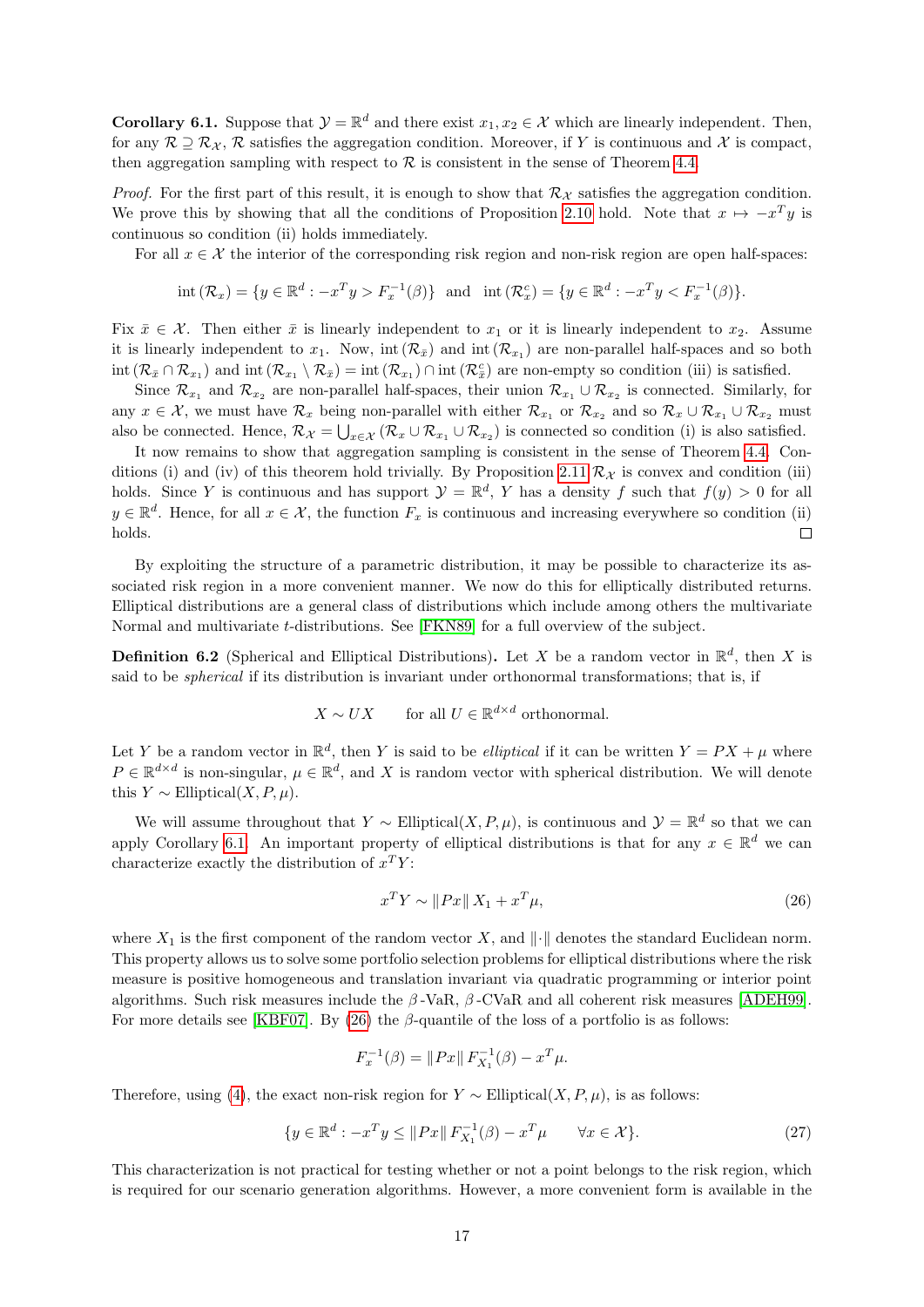<span id="page-16-0"></span>**Corollary 6.1.** Suppose that  $\mathcal{Y} = \mathbb{R}^d$  and there exist  $x_1, x_2 \in \mathcal{X}$  which are linearly independent. Then, for any  $\mathcal{R} \supseteq \mathcal{R}_{\mathcal{X}}$ ,  $\mathcal{R}$  satisfies the aggregation condition. Moreover, if Y is continuous and X is compact, then aggregation sampling with respect to  $\mathcal R$  is consistent in the sense of Theorem [4.4.](#page-12-0)

*Proof.* For the first part of this result, it is enough to show that  $\mathcal{R}_{\mathcal{X}}$  satisfies the aggregation condition. We prove this by showing that all the conditions of Proposition [2.10](#page-6-4) hold. Note that  $x \mapsto -x^T y$  is continuous so condition (ii) holds immediately.

For all  $x \in \mathcal{X}$  the interior of the corresponding risk region and non-risk region are open half-spaces:

$$
int (\mathcal{R}_x) = \{ y \in \mathbb{R}^d : -x^T y > F_x^{-1}(\beta) \} \text{ and } int (\mathcal{R}_x^c) = \{ y \in \mathbb{R}^d : -x^T y < F_x^{-1}(\beta) \}.
$$

Fix  $\bar{x} \in \mathcal{X}$ . Then either  $\bar{x}$  is linearly independent to  $x_1$  or it is linearly independent to  $x_2$ . Assume it is linearly independent to  $x_1$ . Now, int  $(\mathcal{R}_{\bar{x}})$  and int  $(\mathcal{R}_{x_1})$  are non-parallel half-spaces and so both  $\text{int}(\mathcal{R}_{\bar{x}} \cap \mathcal{R}_{x_1})$  and  $\text{int}(\mathcal{R}_{x_1} \setminus \mathcal{R}_{\bar{x}}) = \text{int}(\mathcal{R}_{x_1}) \cap \text{int}(\mathcal{R}_{\bar{x}}^c)$  are non-empty so condition (iii) is satisfied.

Since  $\mathcal{R}_{x_1}$  and  $\mathcal{R}_{x_2}$  are non-parallel half-spaces, their union  $\mathcal{R}_{x_1} \cup \mathcal{R}_{x_2}$  is connected. Similarly, for any  $x \in \mathcal{X}$ , we must have  $\mathcal{R}_x$  being non-parallel with either  $\mathcal{R}_{x_1}$  or  $\mathcal{R}_{x_2}$  and so  $\mathcal{R}_x \cup \mathcal{R}_{x_1} \cup \mathcal{R}_{x_2}$  must also be connected. Hence,  $\mathcal{R}_{\mathcal{X}} = \bigcup_{x \in \mathcal{X}} (\mathcal{R}_x \cup \mathcal{R}_{x_1} \cup \mathcal{R}_{x_2})$  is connected so condition (i) is also satisfied.

It now remains to show that aggregation sampling is consistent in the sense of Theorem [4.4.](#page-12-0) Con-ditions (i) and (iv) of this theorem hold trivially. By Proposition [2.11](#page-6-1)  $\mathcal{R}_{\mathcal{X}}$  is convex and condition (iii) holds. Since Y is continuous and has support  $\mathcal{Y} = \mathbb{R}^d$ , Y has a density f such that  $f(y) > 0$  for all  $y \in \mathbb{R}^d$ . Hence, for all  $x \in \mathcal{X}$ , the function  $F_x$  is continuous and increasing everywhere so condition (ii) holds.  $\Box$ 

By exploiting the structure of a parametric distribution, it may be possible to characterize its associated risk region in a more convenient manner. We now do this for elliptically distributed returns. Elliptical distributions are a general class of distributions which include among others the multivariate Normal and multivariate t-distributions. See [\[FKN89\]](#page-20-9) for a full overview of the subject.

**Definition 6.2** (Spherical and Elliptical Distributions). Let X be a random vector in  $\mathbb{R}^d$ , then X is said to be spherical if its distribution is invariant under orthonormal transformations; that is, if

$$
X \sim UX
$$
 for all  $U \in \mathbb{R}^{d \times d}$  orthonormal.

Let Y be a random vector in  $\mathbb{R}^d$ , then Y is said to be *elliptical* if it can be written  $Y = PX + \mu$  where  $P \in \mathbb{R}^{d \times d}$  is non-singular,  $\mu \in \mathbb{R}^d$ , and X is random vector with spherical distribution. We will denote this  $Y \sim$  Elliptical(*X*, *P*, *u*).

We will assume throughout that  $Y \sim$  Elliptical $(X, P, \mu)$ , is continuous and  $\mathcal{Y} = \mathbb{R}^d$  so that we can apply Corollary [6.1.](#page-16-0) An important property of elliptical distributions is that for any  $x \in \mathbb{R}^d$  we can characterize exactly the distribution of  $x^T Y$ :

<span id="page-16-1"></span>
$$
x^T Y \sim \|Px\| X_1 + x^T \mu,\tag{26}
$$

where  $X_1$  is the first component of the random vector X, and  $\|\cdot\|$  denotes the standard Euclidean norm. This property allows us to solve some portfolio selection problems for elliptical distributions where the risk measure is positive homogeneous and translation invariant via quadratic programming or interior point algorithms. Such risk measures include the  $\beta$ -VaR,  $\beta$ -CVaR and all coherent risk measures [\[ADEH99\]](#page-20-4). For more details see [\[KBF07\]](#page-21-18). By [\(26\)](#page-16-1) the  $\beta$ -quantile of the loss of a portfolio is as follows:

$$
F_x^{-1}(\beta) = ||Px|| F_{X_1}^{-1}(\beta) - x^T \mu.
$$

Therefore, using [\(4\)](#page-4-7), the exact non-risk region for  $Y \sim$  Elliptical( $X, P, \mu$ ), is as follows:

<span id="page-16-2"></span>
$$
\{y \in \mathbb{R}^d : -x^T y \le \|Px\| \, F_{X_1}^{-1}(\beta) - x^T \mu \qquad \forall x \in \mathcal{X}\}.
$$
 (27)

This characterization is not practical for testing whether or not a point belongs to the risk region, which is required for our scenario generation algorithms. However, a more convenient form is available in the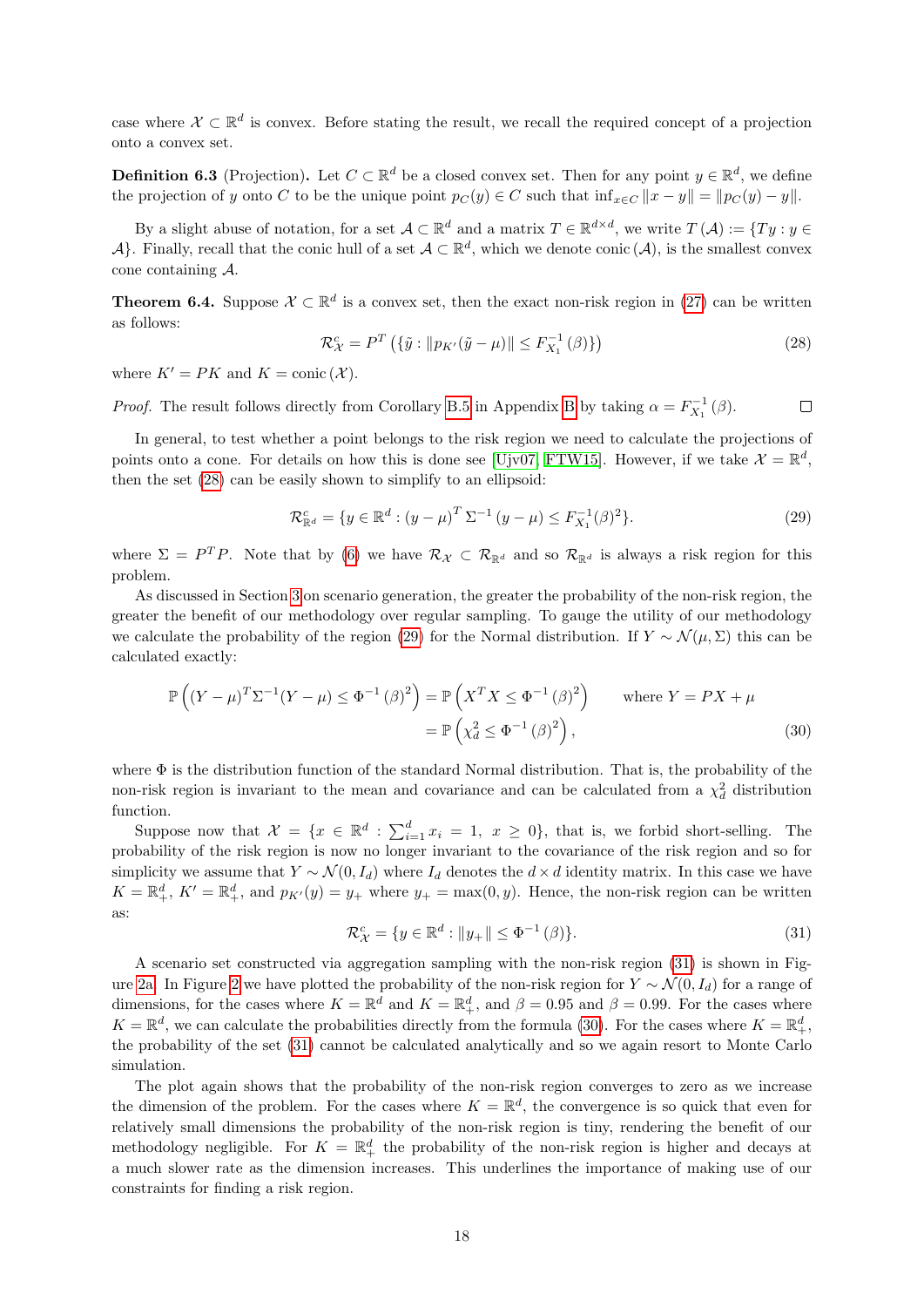case where  $\mathcal{X} \subset \mathbb{R}^d$  is convex. Before stating the result, we recall the required concept of a projection onto a convex set.

**Definition 6.3** (Projection). Let  $C \subset \mathbb{R}^d$  be a closed convex set. Then for any point  $y \in \mathbb{R}^d$ , we define the projection of y onto C to be the unique point  $p_C(y) \in C$  such that  $\inf_{x \in C} ||x - y|| = ||p_C(y) - y||$ .

By a slight abuse of notation, for a set  $\mathcal{A} \subset \mathbb{R}^d$  and a matrix  $T \in \mathbb{R}^{d \times d}$ , we write  $T(\mathcal{A}) := \{Ty : y \in \mathcal{A}\}$ A}. Finally, recall that the conic hull of a set  $A \subset \mathbb{R}^d$ , which we denote conic  $(A)$ , is the smallest convex cone containing A.

**Theorem 6.4.** Suppose  $\mathcal{X} \subset \mathbb{R}^d$  is a convex set, then the exact non-risk region in [\(27\)](#page-16-2) can be written as follows:

<span id="page-17-0"></span>
$$
\mathcal{R}_{\mathcal{X}}^c = P^T \left( \{ \tilde{y} : \| p_{K'}(\tilde{y} - \mu) \| \le F_{X_1}^{-1}(\beta) \} \right) \tag{28}
$$

where  $K' = PK$  and  $K = \text{conic } (\mathcal{X})$ .

*Proof.* The result follows directly from Corollary [B.5](#page-26-0) in Appendix [B](#page-24-0) by taking  $\alpha = F_{X_1}^{-1}(\beta)$ .  $\Box$ 

In general, to test whether a point belongs to the risk region we need to calculate the projections of points onto a cone. For details on how this is done see [\[Ujv07,](#page-22-5) [FTW15\]](#page-20-10). However, if we take  $\mathcal{X} = \mathbb{R}^d$ , then the set [\(28\)](#page-17-0) can be easily shown to simplify to an ellipsoid:

<span id="page-17-1"></span>
$$
\mathcal{R}^c_{\mathbb{R}^d} = \{ y \in \mathbb{R}^d : (y - \mu)^T \Sigma^{-1} (y - \mu) \le F_{X_1}^{-1} (\beta)^2 \}.
$$
 (29)

where  $\Sigma = P^T P$ . Note that by [\(6\)](#page-4-6) we have  $\mathcal{R}_{\mathcal{X}} \subset \mathcal{R}_{\mathbb{R}^d}$  and so  $\mathcal{R}_{\mathbb{R}^d}$  is always a risk region for this problem.

As discussed in Section [3](#page-7-0) on scenario generation, the greater the probability of the non-risk region, the greater the benefit of our methodology over regular sampling. To gauge the utility of our methodology we calculate the probability of the region [\(29\)](#page-17-1) for the Normal distribution. If  $Y \sim \mathcal{N}(\mu, \Sigma)$  this can be calculated exactly:

$$
\mathbb{P}\left((Y-\mu)^{T}\Sigma^{-1}(Y-\mu)\leq \Phi^{-1}(\beta)^{2}\right) = \mathbb{P}\left(X^{T}X\leq \Phi^{-1}(\beta)^{2}\right) \quad \text{where } Y = PX + \mu
$$

$$
= \mathbb{P}\left(\chi_{d}^{2} \leq \Phi^{-1}(\beta)^{2}\right),\tag{30}
$$

where  $\Phi$  is the distribution function of the standard Normal distribution. That is, the probability of the non-risk region is invariant to the mean and covariance and can be calculated from a  $\chi_d^2$  distribution function.

Suppose now that  $\mathcal{X} = \{x \in \mathbb{R}^d : \sum_{i=1}^d x_i = 1, x \geq 0\}$ , that is, we forbid short-selling. The probability of the risk region is now no longer invariant to the covariance of the risk region and so for simplicity we assume that  $Y \sim \mathcal{N}(0, I_d)$  where  $I_d$  denotes the  $d \times d$  identity matrix. In this case we have  $K = \mathbb{R}^d_+$ ,  $K' = \mathbb{R}^d_+$ , and  $p_{K'}(y) = y_+$  where  $y_+ = \max(0, y)$ . Hence, the non-risk region can be written as:

<span id="page-17-3"></span><span id="page-17-2"></span>
$$
\mathcal{R}_{\mathcal{X}}^c = \{ y \in \mathbb{R}^d : \|y_+\| \le \Phi^{-1}(\beta) \}. \tag{31}
$$

A scenario set constructed via aggregation sampling with the non-risk region [\(31\)](#page-17-2) is shown in Fig-ure [2a.](#page-18-1) In Figure [2](#page-18-1) we have plotted the probability of the non-risk region for  $Y \sim \mathcal{N}(0, I_d)$  for a range of dimensions, for the cases where  $K = \mathbb{R}^d$  and  $K = \mathbb{R}^d_+$ , and  $\beta = 0.95$  and  $\beta = 0.99$ . For the cases where  $K = \mathbb{R}^d$ , we can calculate the probabilities directly from the formula [\(30\)](#page-17-3). For the cases where  $K = \mathbb{R}^d_+$ , the probability of the set [\(31\)](#page-17-2) cannot be calculated analytically and so we again resort to Monte Carlo simulation.

The plot again shows that the probability of the non-risk region converges to zero as we increase the dimension of the problem. For the cases where  $K = \mathbb{R}^d$ , the convergence is so quick that even for relatively small dimensions the probability of the non-risk region is tiny, rendering the benefit of our methodology negligible. For  $K = \mathbb{R}^d_+$  the probability of the non-risk region is higher and decays at a much slower rate as the dimension increases. This underlines the importance of making use of our constraints for finding a risk region.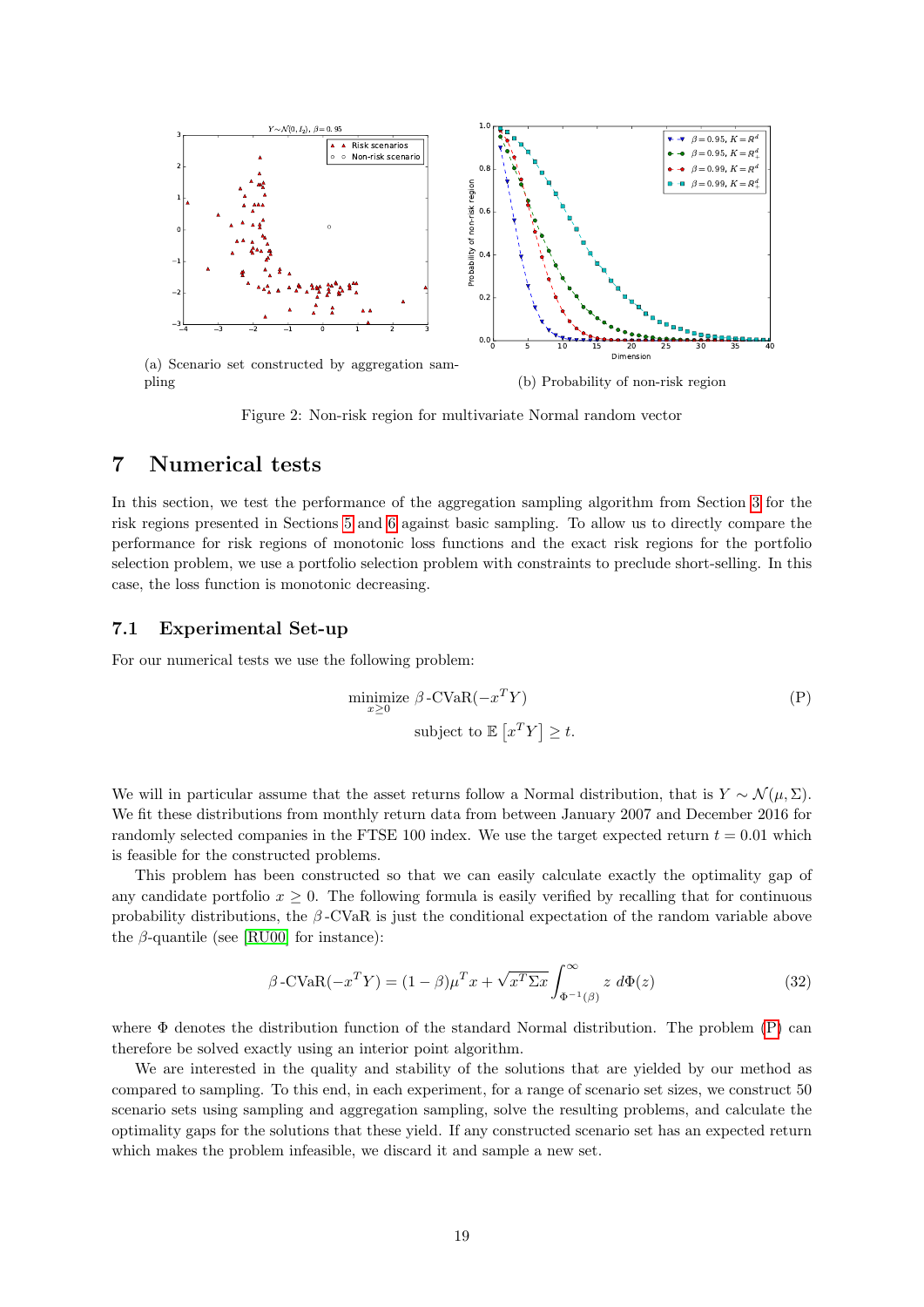<span id="page-18-1"></span>

<span id="page-18-2"></span>(b) Probability of non-risk region

Figure 2: Non-risk region for multivariate Normal random vector

# <span id="page-18-0"></span>7 Numerical tests

In this section, we test the performance of the aggregation sampling algorithm from Section [3](#page-7-0) for the risk regions presented in Sections [5](#page-13-0) and [6](#page-15-0) against basic sampling. To allow us to directly compare the performance for risk regions of monotonic loss functions and the exact risk regions for the portfolio selection problem, we use a portfolio selection problem with constraints to preclude short-selling. In this case, the loss function is monotonic decreasing.

### 7.1 Experimental Set-up

For our numerical tests we use the following problem:

$$
\begin{aligned}\n\text{minimize } \beta \text{-CVaR}(-x^T Y) \\
\text{subject to } \mathbb{E}\left[x^T Y\right] \ge t.\n\end{aligned} \tag{P}
$$

We will in particular assume that the asset returns follow a Normal distribution, that is  $Y \sim \mathcal{N}(\mu, \Sigma)$ . We fit these distributions from monthly return data from between January 2007 and December 2016 for randomly selected companies in the FTSE 100 index. We use the target expected return  $t = 0.01$  which is feasible for the constructed problems.

This problem has been constructed so that we can easily calculate exactly the optimality gap of any candidate portfolio  $x \geq 0$ . The following formula is easily verified by recalling that for continuous probability distributions, the  $\beta$ -CVaR is just the conditional expectation of the random variable above the  $\beta$ -quantile (see [\[RU00\]](#page-21-2) for instance):

$$
\beta \text{-CVaR}(-x^T Y) = (1 - \beta)\mu^T x + \sqrt{x^T \Sigma x} \int_{\Phi^{-1}(\beta)}^{\infty} z \, d\Phi(z) \tag{32}
$$

where  $\Phi$  denotes the distribution function of the standard Normal distribution. The problem  $(P)$  can therefore be solved exactly using an interior point algorithm.

We are interested in the quality and stability of the solutions that are yielded by our method as compared to sampling. To this end, in each experiment, for a range of scenario set sizes, we construct 50 scenario sets using sampling and aggregation sampling, solve the resulting problems, and calculate the optimality gaps for the solutions that these yield. If any constructed scenario set has an expected return which makes the problem infeasible, we discard it and sample a new set.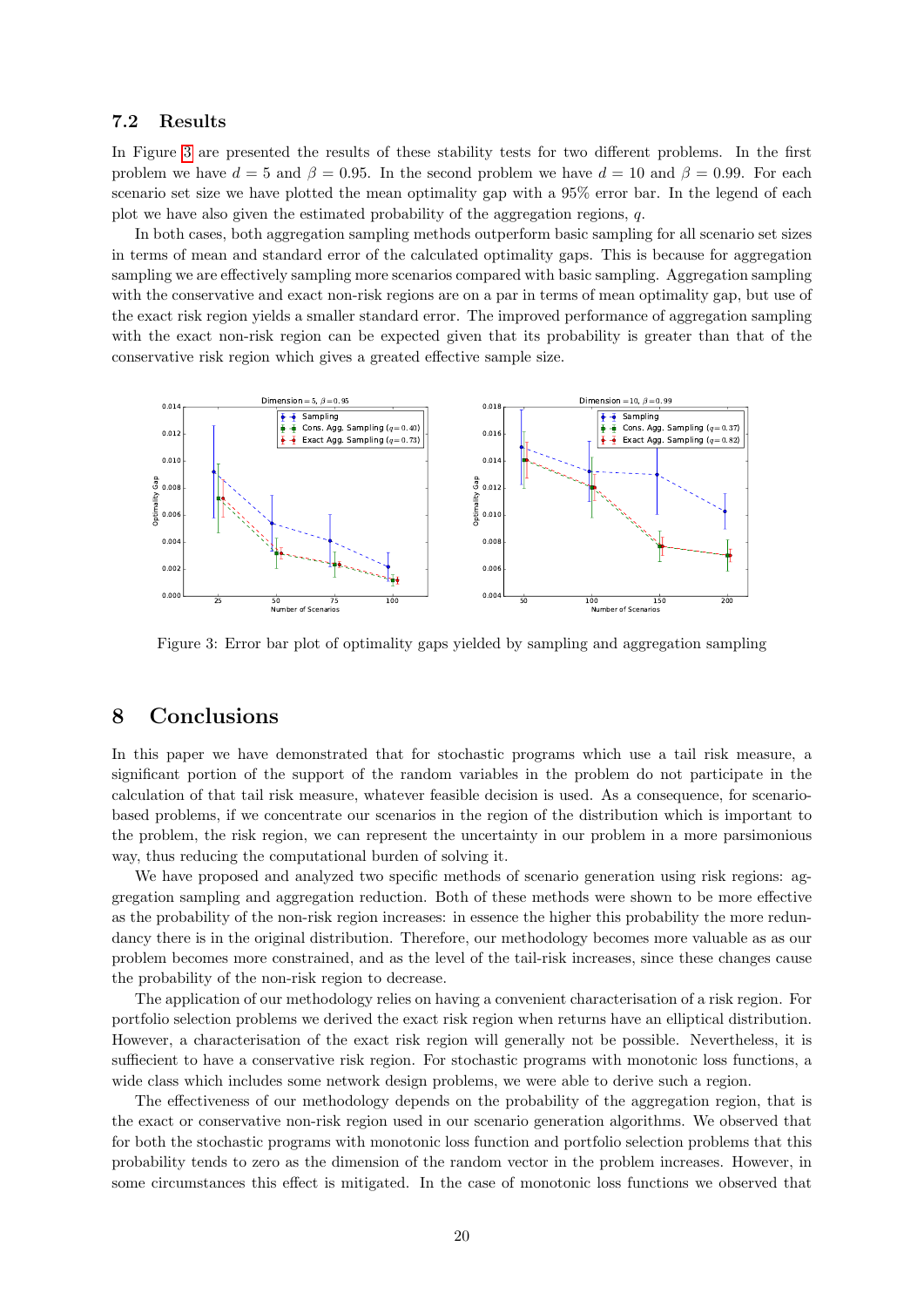### 7.2 Results

In Figure [3](#page-19-1) are presented the results of these stability tests for two different problems. In the first problem we have  $d = 5$  and  $\beta = 0.95$ . In the second problem we have  $d = 10$  and  $\beta = 0.99$ . For each scenario set size we have plotted the mean optimality gap with a 95% error bar. In the legend of each plot we have also given the estimated probability of the aggregation regions, q.

In both cases, both aggregation sampling methods outperform basic sampling for all scenario set sizes in terms of mean and standard error of the calculated optimality gaps. This is because for aggregation sampling we are effectively sampling more scenarios compared with basic sampling. Aggregation sampling with the conservative and exact non-risk regions are on a par in terms of mean optimality gap, but use of the exact risk region yields a smaller standard error. The improved performance of aggregation sampling with the exact non-risk region can be expected given that its probability is greater than that of the conservative risk region which gives a greated effective sample size.

<span id="page-19-1"></span>

Figure 3: Error bar plot of optimality gaps yielded by sampling and aggregation sampling

# <span id="page-19-0"></span>8 Conclusions

In this paper we have demonstrated that for stochastic programs which use a tail risk measure, a significant portion of the support of the random variables in the problem do not participate in the calculation of that tail risk measure, whatever feasible decision is used. As a consequence, for scenariobased problems, if we concentrate our scenarios in the region of the distribution which is important to the problem, the risk region, we can represent the uncertainty in our problem in a more parsimonious way, thus reducing the computational burden of solving it.

We have proposed and analyzed two specific methods of scenario generation using risk regions: aggregation sampling and aggregation reduction. Both of these methods were shown to be more effective as the probability of the non-risk region increases: in essence the higher this probability the more redundancy there is in the original distribution. Therefore, our methodology becomes more valuable as as our problem becomes more constrained, and as the level of the tail-risk increases, since these changes cause the probability of the non-risk region to decrease.

The application of our methodology relies on having a convenient characterisation of a risk region. For portfolio selection problems we derived the exact risk region when returns have an elliptical distribution. However, a characterisation of the exact risk region will generally not be possible. Nevertheless, it is suffiecient to have a conservative risk region. For stochastic programs with monotonic loss functions, a wide class which includes some network design problems, we were able to derive such a region.

The effectiveness of our methodology depends on the probability of the aggregation region, that is the exact or conservative non-risk region used in our scenario generation algorithms. We observed that for both the stochastic programs with monotonic loss function and portfolio selection problems that this probability tends to zero as the dimension of the random vector in the problem increases. However, in some circumstances this effect is mitigated. In the case of monotonic loss functions we observed that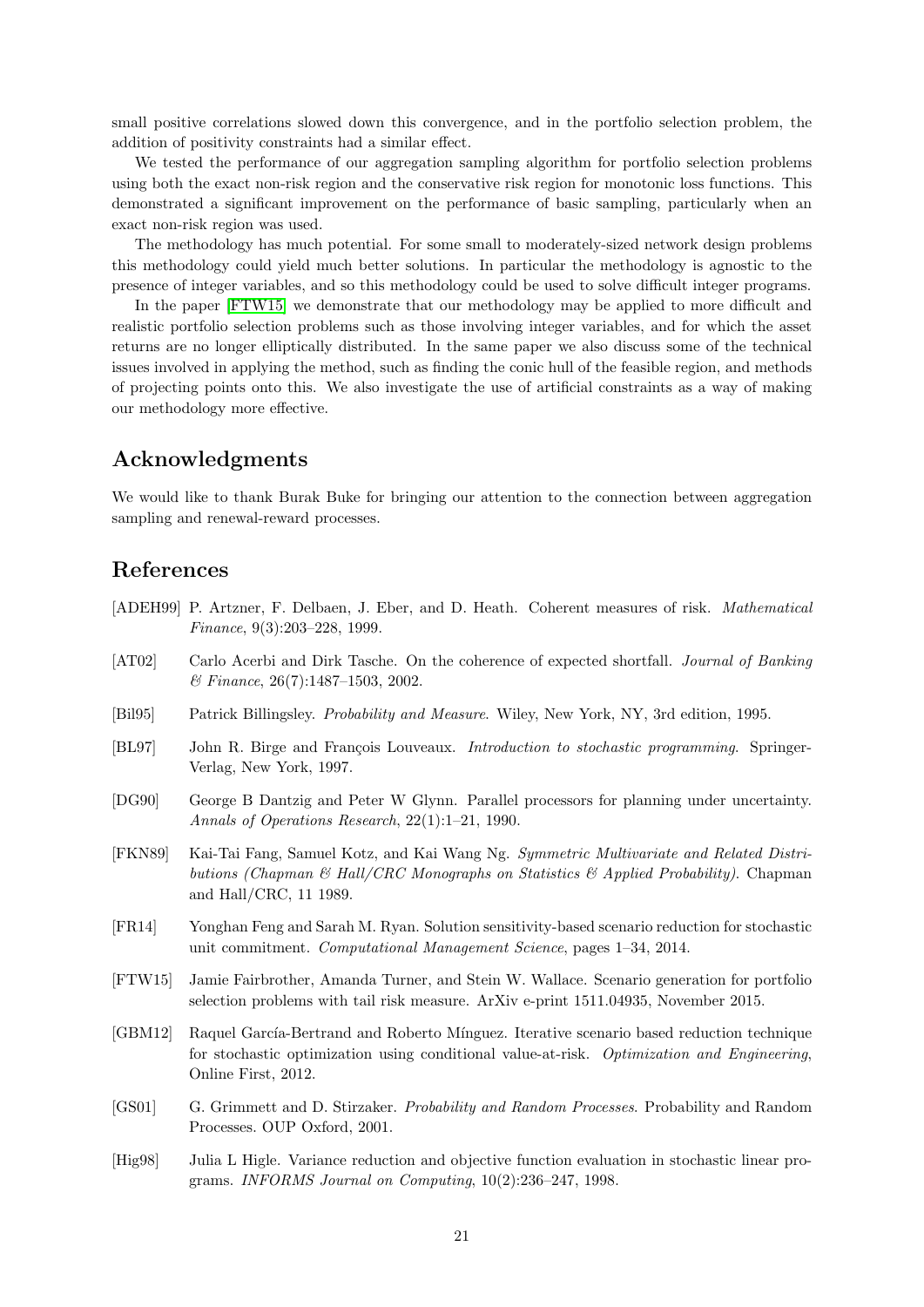small positive correlations slowed down this convergence, and in the portfolio selection problem, the addition of positivity constraints had a similar effect.

We tested the performance of our aggregation sampling algorithm for portfolio selection problems using both the exact non-risk region and the conservative risk region for monotonic loss functions. This demonstrated a significant improvement on the performance of basic sampling, particularly when an exact non-risk region was used.

The methodology has much potential. For some small to moderately-sized network design problems this methodology could yield much better solutions. In particular the methodology is agnostic to the presence of integer variables, and so this methodology could be used to solve difficult integer programs.

In the paper [\[FTW15\]](#page-20-10) we demonstrate that our methodology may be applied to more difficult and realistic portfolio selection problems such as those involving integer variables, and for which the asset returns are no longer elliptically distributed. In the same paper we also discuss some of the technical issues involved in applying the method, such as finding the conic hull of the feasible region, and methods of projecting points onto this. We also investigate the use of artificial constraints as a way of making our methodology more effective.

# Acknowledgments

We would like to thank Burak Buke for bringing our attention to the connection between aggregation sampling and renewal-reward processes.

# References

- <span id="page-20-4"></span>[ADEH99] P. Artzner, F. Delbaen, J. Eber, and D. Heath. Coherent measures of risk. Mathematical Finance, 9(3):203–228, 1999.
- <span id="page-20-5"></span>[AT02] Carlo Acerbi and Dirk Tasche. On the coherence of expected shortfall. Journal of Banking & Finance, 26(7):1487–1503, 2002.
- <span id="page-20-3"></span>[Bil95] Patrick Billingsley. Probability and Measure. Wiley, New York, NY, 3rd edition, 1995.
- <span id="page-20-6"></span>[BL97] John R. Birge and François Louveaux. *Introduction to stochastic programming*. Springer-Verlag, New York, 1997.
- <span id="page-20-0"></span>[DG90] George B Dantzig and Peter W Glynn. Parallel processors for planning under uncertainty. Annals of Operations Research, 22(1):1–21, 1990.
- <span id="page-20-9"></span>[FKN89] Kai-Tai Fang, Samuel Kotz, and Kai Wang Ng. Symmetric Multivariate and Related Distributions (Chapman & Hall/CRC Monographs on Statistics & Applied Probability). Chapman and Hall/CRC, 11 1989.
- <span id="page-20-1"></span>[FR14] Yonghan Feng and Sarah M. Ryan. Solution sensitivity-based scenario reduction for stochastic unit commitment. Computational Management Science, pages 1–34, 2014.
- <span id="page-20-10"></span>[FTW15] Jamie Fairbrother, Amanda Turner, and Stein W. Wallace. Scenario generation for portfolio selection problems with tail risk measure. ArXiv e-print 1511.04935, November 2015.
- <span id="page-20-2"></span>[GBM12] Raquel García-Bertrand and Roberto Mínguez. Iterative scenario based reduction technique for stochastic optimization using conditional value-at-risk. Optimization and Engineering, Online First, 2012.
- <span id="page-20-8"></span>[GS01] G. Grimmett and D. Stirzaker. Probability and Random Processes. Probability and Random Processes. OUP Oxford, 2001.
- <span id="page-20-7"></span>[Hig98] Julia L Higle. Variance reduction and objective function evaluation in stochastic linear programs. INFORMS Journal on Computing, 10(2):236–247, 1998.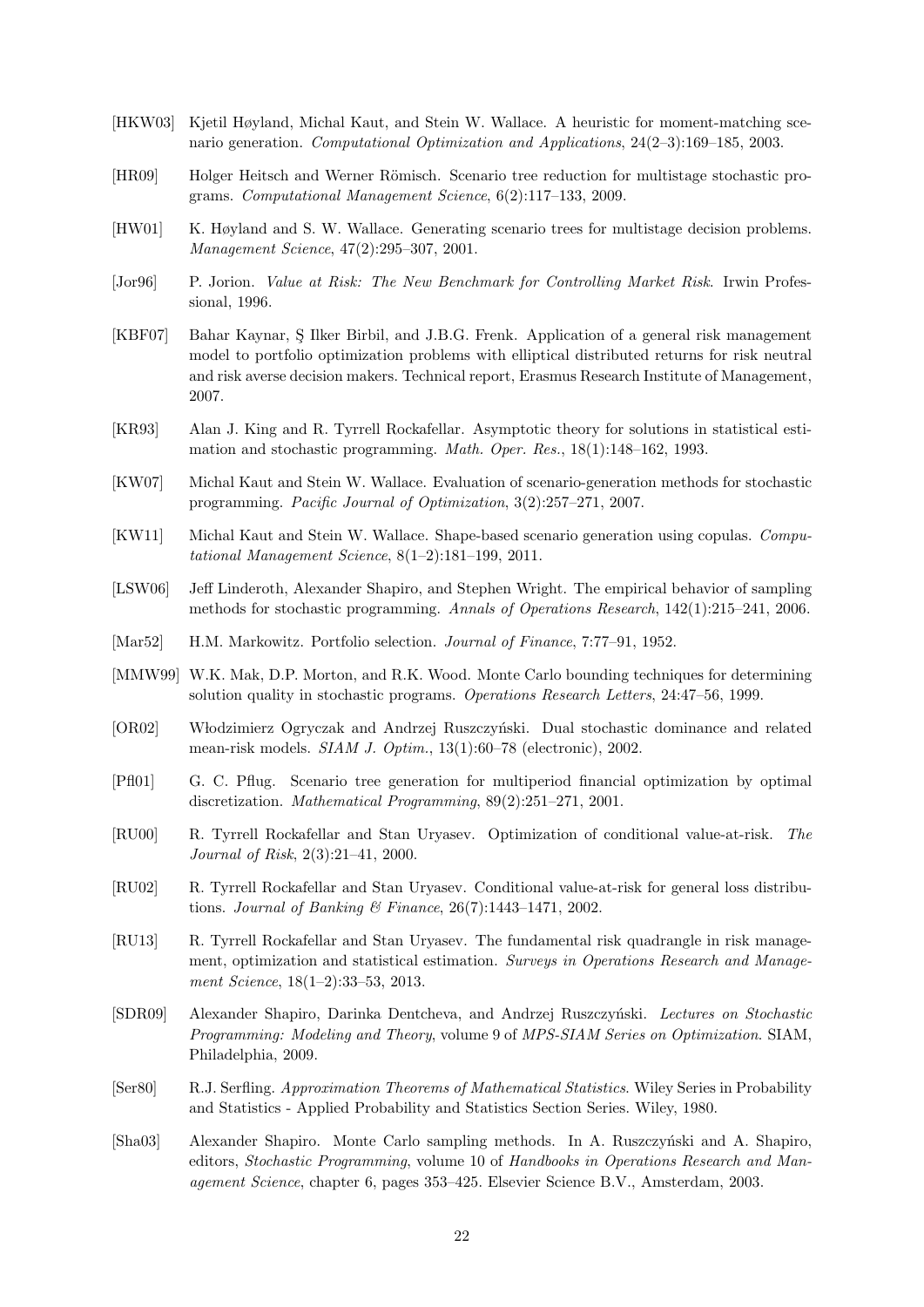- <span id="page-21-11"></span>[HKW03] Kjetil Høyland, Michal Kaut, and Stein W. Wallace. A heuristic for moment-matching scenario generation. Computational Optimization and Applications, 24(2–3):169–185, 2003.
- <span id="page-21-8"></span>[HR09] Holger Heitsch and Werner Römisch. Scenario tree reduction for multistage stochastic programs. Computational Management Science, 6(2):117–133, 2009.
- <span id="page-21-9"></span>[HW01] K. Høyland and S. W. Wallace. Generating scenario trees for multistage decision problems. Management Science, 47(2):295–307, 2001.
- <span id="page-21-1"></span>[Jor96] P. Jorion. Value at Risk: The New Benchmark for Controlling Market Risk. Irwin Professional, 1996.
- <span id="page-21-18"></span>[KBF07] Bahar Kaynar, S¸ Ilker Birbil, and J.B.G. Frenk. Application of a general risk management model to portfolio optimization problems with elliptical distributed returns for risk neutral and risk averse decision makers. Technical report, Erasmus Research Institute of Management, 2007.
- <span id="page-21-3"></span>[KR93] Alan J. King and R. Tyrrell Rockafellar. Asymptotic theory for solutions in statistical estimation and stochastic programming. Math. Oper. Res., 18(1):148–162, 1993.
- <span id="page-21-0"></span>[KW07] Michal Kaut and Stein W. Wallace. Evaluation of scenario-generation methods for stochastic programming. Pacific Journal of Optimization, 3(2):257–271, 2007.
- <span id="page-21-12"></span>[KW11] Michal Kaut and Stein W. Wallace. Shape-based scenario generation using copulas. Computational Management Science, 8(1–2):181–199, 2011.
- <span id="page-21-5"></span>[LSW06] Jeff Linderoth, Alexander Shapiro, and Stephen Wright. The empirical behavior of sampling methods for stochastic programming. Annals of Operations Research, 142(1):215–241, 2006.
- <span id="page-21-10"></span>[Mar52] H.M. Markowitz. Portfolio selection. Journal of Finance, 7:77–91, 1952.
- <span id="page-21-6"></span>[MMW99] W.K. Mak, D.P. Morton, and R.K. Wood. Monte Carlo bounding techniques for determining solution quality in stochastic programs. Operations Research Letters, 24:47–56, 1999.
- <span id="page-21-13"></span>[OR02] Włodzimierz Ogryczak and Andrzej Ruszczyński. Dual stochastic dominance and related mean-risk models. SIAM J. Optim., 13(1):60–78 (electronic), 2002.
- <span id="page-21-7"></span>[Pfl01] G. C. Pflug. Scenario tree generation for multiperiod financial optimization by optimal discretization. Mathematical Programming, 89(2):251–271, 2001.
- <span id="page-21-2"></span>[RU00] R. Tyrrell Rockafellar and Stan Uryasev. Optimization of conditional value-at-risk. The Journal of Risk, 2(3):21–41, 2000.
- <span id="page-21-15"></span>[RU02] R. Tyrrell Rockafellar and Stan Uryasev. Conditional value-at-risk for general loss distributions. Journal of Banking & Finance, 26(7):1443–1471, 2002.
- <span id="page-21-14"></span>[RU13] R. Tyrrell Rockafellar and Stan Uryasev. The fundamental risk quadrangle in risk management, optimization and statistical estimation. Surveys in Operations Research and Management Science, 18(1–2):33–53, 2013.
- <span id="page-21-17"></span>[SDR09] Alexander Shapiro, Darinka Dentcheva, and Andrzej Ruszczyński. Lectures on Stochastic Programming: Modeling and Theory, volume 9 of MPS-SIAM Series on Optimization. SIAM, Philadelphia, 2009.
- <span id="page-21-16"></span>[Ser80] R.J. Serfling. Approximation Theorems of Mathematical Statistics. Wiley Series in Probability and Statistics - Applied Probability and Statistics Section Series. Wiley, 1980.
- <span id="page-21-4"></span>[Sha03] Alexander Shapiro. Monte Carlo sampling methods. In A. Ruszczyński and A. Shapiro, editors, Stochastic Programming, volume 10 of Handbooks in Operations Research and Management Science, chapter 6, pages 353–425. Elsevier Science B.V., Amsterdam, 2003.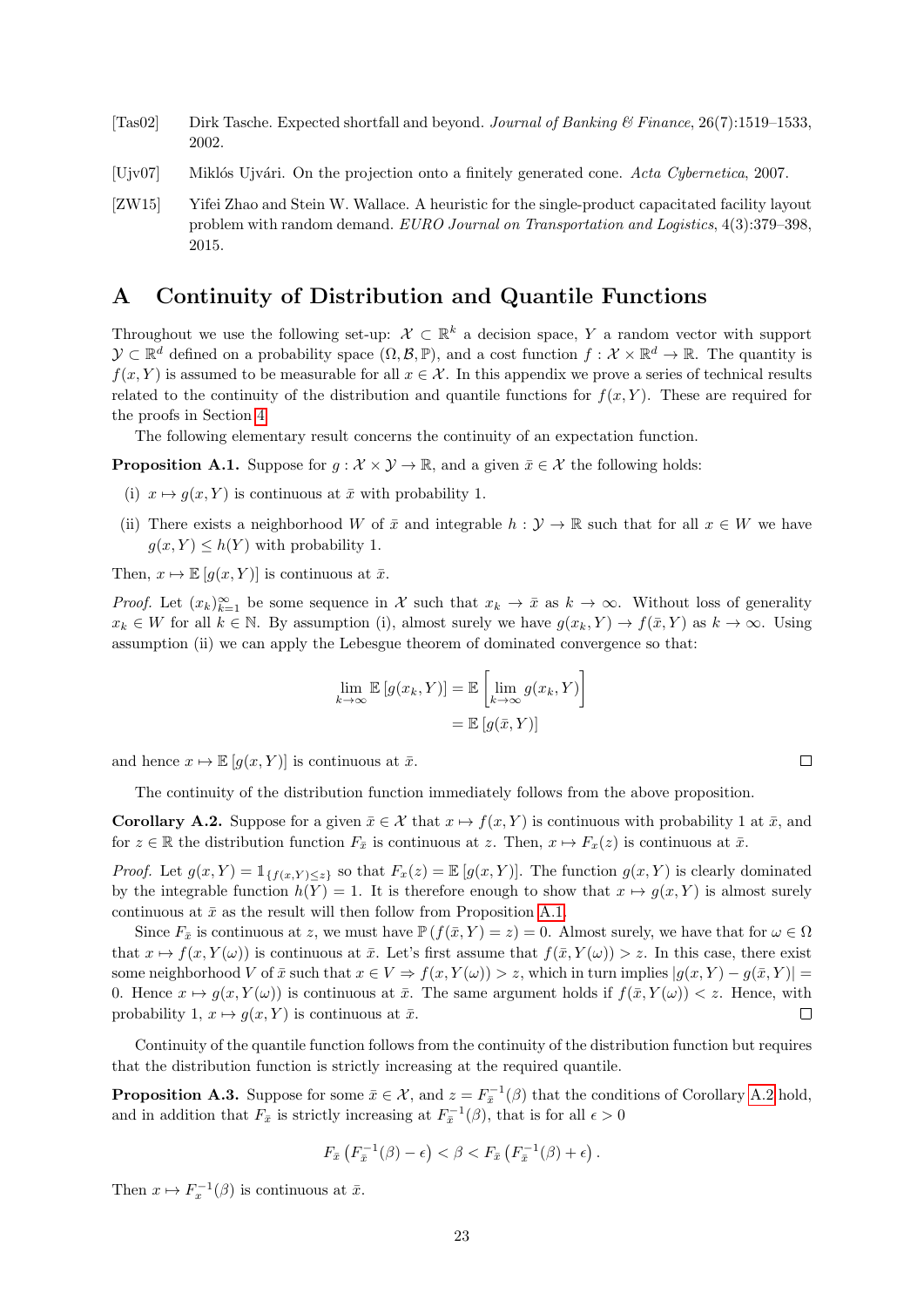- <span id="page-22-1"></span>[Tas02] Dirk Tasche. Expected shortfall and beyond. Journal of Banking & Finance, 26(7):1519–1533, 2002.
- <span id="page-22-5"></span>[Ujv07] Miklós Ujvári. On the projection onto a finitely generated cone. Acta Cybernetica, 2007.
- <span id="page-22-0"></span>[ZW15] Yifei Zhao and Stein W. Wallace. A heuristic for the single-product capacitated facility layout problem with random demand. EURO Journal on Transportation and Logistics, 4(3):379–398, 2015.

# <span id="page-22-2"></span>A Continuity of Distribution and Quantile Functions

Throughout we use the following set-up:  $\mathcal{X} \subset \mathbb{R}^k$  a decision space, Y a random vector with support  $\mathcal{Y} \subset \mathbb{R}^d$  defined on a probability space  $(\Omega, \mathcal{B}, \mathbb{P})$ , and a cost function  $f: \mathcal{X} \times \mathbb{R}^d \to \mathbb{R}$ . The quantity is  $f(x, Y)$  is assumed to be measurable for all  $x \in \mathcal{X}$ . In this appendix we prove a series of technical results related to the continuity of the distribution and quantile functions for  $f(x, Y)$ . These are required for the proofs in Section [4.](#page-9-0)

The following elementary result concerns the continuity of an expectation function.

<span id="page-22-6"></span>**Proposition A.1.** Suppose for  $g : \mathcal{X} \times \mathcal{Y} \to \mathbb{R}$ , and a given  $\bar{x} \in \mathcal{X}$  the following holds:

- (i)  $x \mapsto g(x, Y)$  is continuous at  $\bar{x}$  with probability 1.
- (ii) There exists a neighborhood W of  $\bar{x}$  and integrable  $h : \mathcal{Y} \to \mathbb{R}$  such that for all  $x \in W$  we have  $g(x, Y) \leq h(Y)$  with probability 1.

Then,  $x \mapsto \mathbb{E} [q(x, Y)]$  is continuous at  $\bar{x}$ .

*Proof.* Let  $(x_k)_{k=1}^{\infty}$  be some sequence in X such that  $x_k \to \bar{x}$  as  $k \to \infty$ . Without loss of generality  $x_k \in W$  for all  $k \in \mathbb{N}$ . By assumption (i), almost surely we have  $g(x_k, Y) \to f(\bar{x}, Y)$  as  $k \to \infty$ . Using assumption (ii) we can apply the Lebesgue theorem of dominated convergence so that:

$$
\lim_{k \to \infty} \mathbb{E}\left[g(x_k, Y)\right] = \mathbb{E}\left[\lim_{k \to \infty} g(x_k, Y)\right]
$$

$$
= \mathbb{E}\left[g(\bar{x}, Y)\right]
$$

and hence  $x \mapsto \mathbb{E} [g(x, Y)]$  is continuous at  $\bar{x}$ .

The continuity of the distribution function immediately follows from the above proposition.

<span id="page-22-3"></span>**Corollary A.2.** Suppose for a given  $\bar{x} \in \mathcal{X}$  that  $x \mapsto f(x, Y)$  is continuous with probability 1 at  $\bar{x}$ , and for  $z \in \mathbb{R}$  the distribution function  $F_{\bar{x}}$  is continuous at z. Then,  $x \mapsto F_x(z)$  is continuous at  $\bar{x}$ .

*Proof.* Let  $g(x, Y) = \mathbb{1}_{\{f(x, Y) \leq z\}}$  so that  $F_x(z) = \mathbb{E}[g(x, Y)]$ . The function  $g(x, Y)$  is clearly dominated by the integrable function  $h(Y) = 1$ . It is therefore enough to show that  $x \mapsto g(x, Y)$  is almost surely continuous at  $\bar{x}$  as the result will then follow from Proposition [A.1.](#page-22-6)

Since  $F_{\bar{x}}$  is continuous at z, we must have  $\mathbb{P}(f(\bar{x}, Y) = z) = 0$ . Almost surely, we have that for  $\omega \in \Omega$ that  $x \mapsto f(x, Y(\omega))$  is continuous at  $\bar{x}$ . Let's first assume that  $f(\bar{x}, Y(\omega)) > z$ . In this case, there exist some neighborhood V of  $\bar{x}$  such that  $x \in V \Rightarrow f(x, Y(\omega)) > z$ , which in turn implies  $|g(x, Y) - g(\bar{x}, Y)| =$ 0. Hence  $x \mapsto g(x, Y(\omega))$  is continuous at  $\bar{x}$ . The same argument holds if  $f(\bar{x}, Y(\omega)) < z$ . Hence, with probability 1,  $x \mapsto q(x, Y)$  is continuous at  $\bar{x}$ .  $\Box$ 

Continuity of the quantile function follows from the continuity of the distribution function but requires that the distribution function is strictly increasing at the required quantile.

<span id="page-22-4"></span>**Proposition A.3.** Suppose for some  $\bar{x} \in \mathcal{X}$ , and  $z = F_{\bar{x}}^{-1}(\beta)$  that the conditions of Corollary [A.2](#page-22-3) hold, and in addition that  $F_{\bar{x}}$  is strictly increasing at  $F_{\bar{x}}^{-1}(\beta)$ , that is for all  $\epsilon > 0$ 

$$
F_{\bar{x}}\left(F_{\bar{x}}^{-1}(\beta)-\epsilon\right) < \beta < F_{\bar{x}}\left(F_{\bar{x}}^{-1}(\beta)+\epsilon\right).
$$

Then  $x \mapsto F_x^{-1}(\beta)$  is continuous at  $\bar{x}$ .

 $\Box$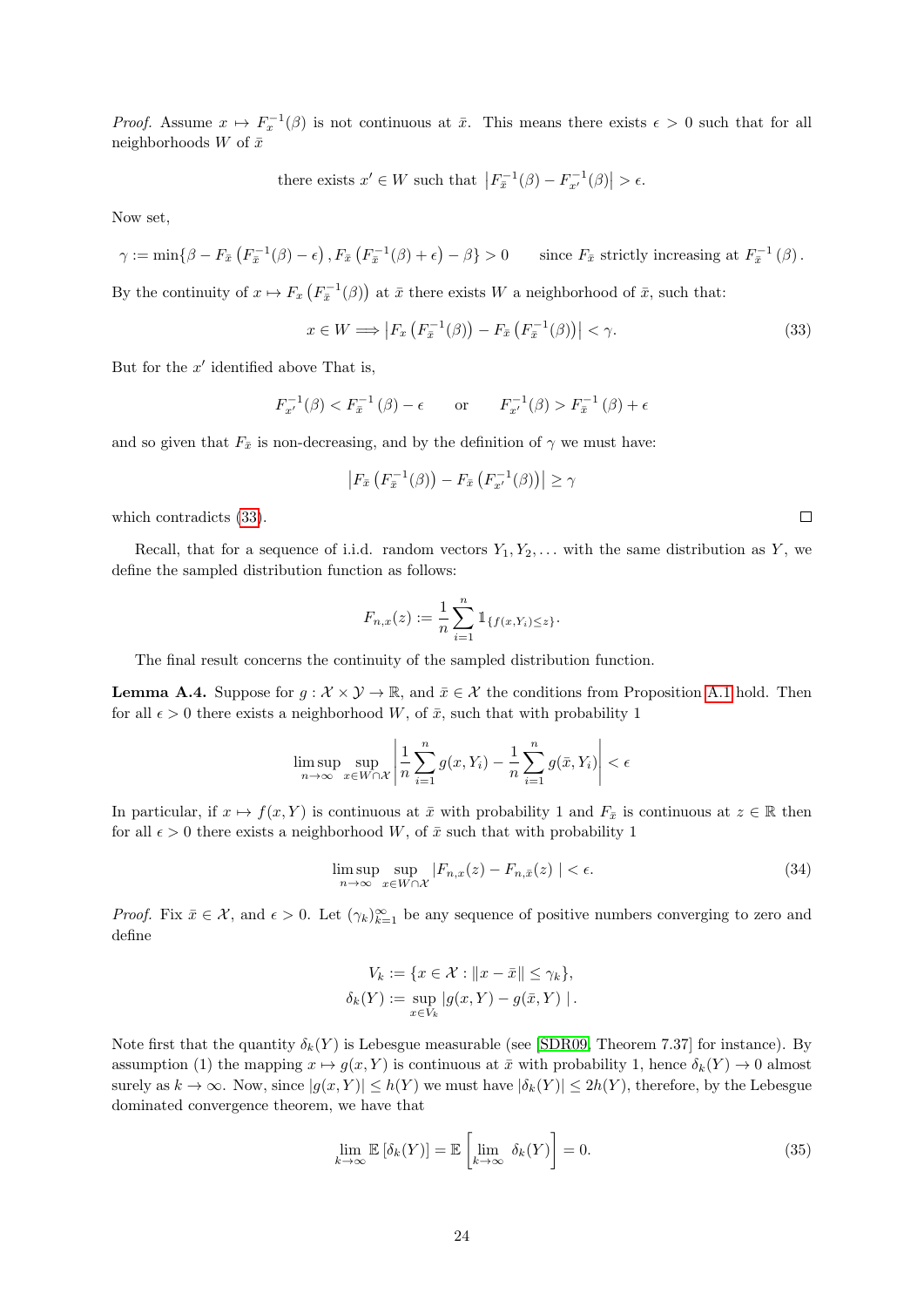*Proof.* Assume  $x \mapsto F_x^{-1}(\beta)$  is not continuous at  $\bar{x}$ . This means there exists  $\epsilon > 0$  such that for all neighborhoods W of  $\bar{x}$ 

there exists  $x' \in W$  such that  $|F_{\overline{x}}^{-1}(\beta) - F_{x'}^{-1}(\beta)| > \epsilon$ .

Now set,

$$
\gamma := \min \{ \beta - F_{\bar{x}} \left( F_{\bar{x}}^{-1}(\beta) - \epsilon \right), F_{\bar{x}} \left( F_{\bar{x}}^{-1}(\beta) + \epsilon \right) - \beta \} > 0 \quad \text{since } F_{\bar{x}} \text{ strictly increasing at } F_{\bar{x}}^{-1}(\beta) .
$$

By the continuity of  $x \mapsto F_x\left(F_{\bar{x}}^{-1}(\beta)\right)$  at  $\bar{x}$  there exists W a neighborhood of  $\bar{x}$ , such that:

<span id="page-23-1"></span>
$$
x \in W \Longrightarrow \left| F_x \left( F_{\bar{x}}^{-1}(\beta) \right) - F_{\bar{x}} \left( F_{\bar{x}}^{-1}(\beta) \right) \right| < \gamma. \tag{33}
$$

But for the  $x'$  identified above That is,

$$
F_{x'}^{-1}(\beta) < F_{\bar{x}}^{-1}(\beta) - \epsilon \qquad \text{or} \qquad F_{x'}^{-1}(\beta) > F_{\bar{x}}^{-1}(\beta) + \epsilon
$$

and so given that  $F_{\bar{x}}$  is non-decreasing, and by the definition of  $\gamma$  we must have:

$$
\left| F_{\bar{x}}\left( F_{\bar{x}}^{-1}(\beta) \right) - F_{\bar{x}}\left( F_{x'}^{-1}(\beta) \right) \right| \ge \gamma
$$

which contradicts [\(33\)](#page-23-1).

Recall, that for a sequence of i.i.d. random vectors  $Y_1, Y_2, \ldots$  with the same distribution as Y, we define the sampled distribution function as follows:

$$
F_{n,x}(z) := \frac{1}{n} \sum_{i=1}^n \mathbb{1}_{\{f(x,Y_i) \leq z\}}.
$$

The final result concerns the continuity of the sampled distribution function.

<span id="page-23-0"></span>**Lemma A.4.** Suppose for  $g : \mathcal{X} \times \mathcal{Y} \to \mathbb{R}$ , and  $\bar{x} \in \mathcal{X}$  the conditions from Proposition [A.1](#page-22-6) hold. Then for all  $\epsilon > 0$  there exists a neighborhood W, of  $\bar{x}$ , such that with probability 1

$$
\limsup_{n \to \infty} \sup_{x \in W \cap \mathcal{X}} \left| \frac{1}{n} \sum_{i=1}^{n} g(x, Y_i) - \frac{1}{n} \sum_{i=1}^{n} g(\bar{x}, Y_i) \right| < \epsilon
$$

In particular, if  $x \mapsto f(x, Y)$  is continuous at  $\bar{x}$  with probability 1 and  $F_{\bar{x}}$  is continuous at  $z \in \mathbb{R}$  then for all  $\epsilon > 0$  there exists a neighborhood W, of  $\bar{x}$  such that with probability 1

<span id="page-23-3"></span>
$$
\limsup_{n \to \infty} \sup_{x \in W \cap \mathcal{X}} |F_{n,x}(z) - F_{n,\bar{x}}(z)| < \epsilon.
$$
\n(34)

Proof. Fix  $\bar{x} \in \mathcal{X}$ , and  $\epsilon > 0$ . Let  $(\gamma_k)_{k=1}^{\infty}$  be any sequence of positive numbers converging to zero and define

$$
V_k := \{ x \in \mathcal{X} : ||x - \bar{x}|| \le \gamma_k \},
$$
  

$$
\delta_k(Y) := \sup_{x \in V_k} |g(x, Y) - g(\bar{x}, Y)|.
$$

Note first that the quantity  $\delta_k(Y)$  is Lebesgue measurable (see [\[SDR09,](#page-21-17) Theorem 7.37] for instance). By assumption (1) the mapping  $x \mapsto g(x, Y)$  is continuous at  $\bar{x}$  with probability 1, hence  $\delta_k(Y) \to 0$  almost surely as  $k \to \infty$ . Now, since  $|g(x, Y)| \le h(Y)$  we must have  $|\delta_k(Y)| \le 2h(Y)$ , therefore, by the Lebesgue dominated convergence theorem, we have that

<span id="page-23-2"></span>
$$
\lim_{k \to \infty} \mathbb{E} \left[ \delta_k(Y) \right] = \mathbb{E} \left[ \lim_{k \to \infty} \delta_k(Y) \right] = 0. \tag{35}
$$

 $\Box$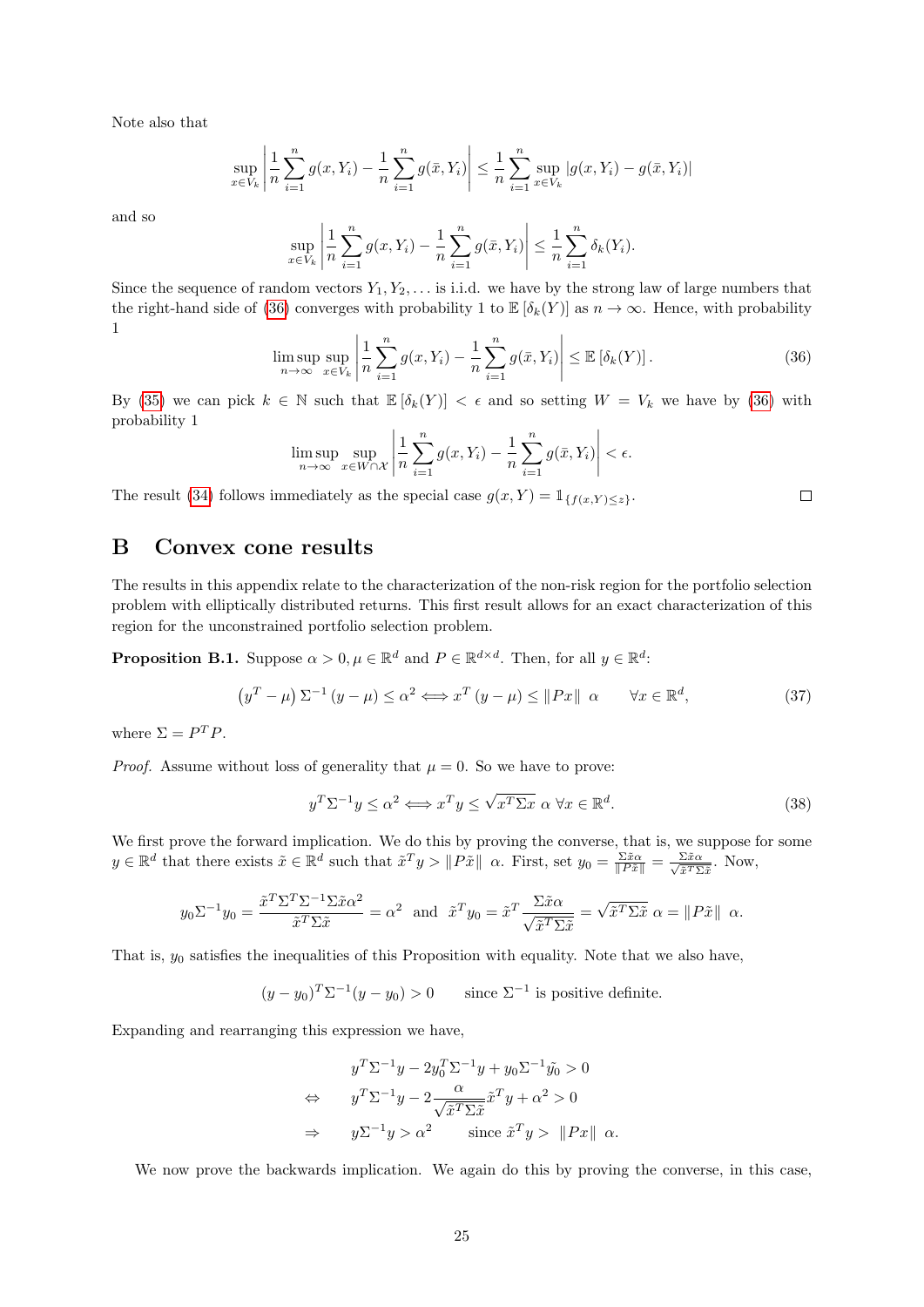Note also that

$$
\sup_{x \in V_k} \left| \frac{1}{n} \sum_{i=1}^n g(x, Y_i) - \frac{1}{n} \sum_{i=1}^n g(\bar{x}, Y_i) \right| \leq \frac{1}{n} \sum_{i=1}^n \sup_{x \in V_k} |g(x, Y_i) - g(\bar{x}, Y_i)|
$$

and so

$$
\sup_{x \in V_k} \left| \frac{1}{n} \sum_{i=1}^n g(x, Y_i) - \frac{1}{n} \sum_{i=1}^n g(\bar{x}, Y_i) \right| \leq \frac{1}{n} \sum_{i=1}^n \delta_k(Y_i).
$$

Since the sequence of random vectors  $Y_1, Y_2, \ldots$  is i.i.d. we have by the strong law of large numbers that the right-hand side of [\(36\)](#page-24-1) converges with probability 1 to  $\mathbb{E}[\delta_k(Y)]$  as  $n \to \infty$ . Hence, with probability 1

<span id="page-24-1"></span>
$$
\limsup_{n \to \infty} \sup_{x \in V_k} \left| \frac{1}{n} \sum_{i=1}^n g(x, Y_i) - \frac{1}{n} \sum_{i=1}^n g(\bar{x}, Y_i) \right| \leq \mathbb{E} \left[ \delta_k(Y) \right]. \tag{36}
$$

 $\Box$ 

By [\(35\)](#page-23-2) we can pick  $k \in \mathbb{N}$  such that  $\mathbb{E}[\delta_k(Y)] < \epsilon$  and so setting  $W = V_k$  we have by [\(36\)](#page-24-1) with probability 1

$$
\limsup_{n \to \infty} \sup_{x \in W \cap \mathcal{X}} \left| \frac{1}{n} \sum_{i=1}^n g(x, Y_i) - \frac{1}{n} \sum_{i=1}^n g(\bar{x}, Y_i) \right| < \epsilon.
$$

The result [\(34\)](#page-23-3) follows immediately as the special case  $g(x, Y) = \mathbb{1}_{\{f(x, Y) \leq z\}}$ .

### <span id="page-24-0"></span>B Convex cone results

The results in this appendix relate to the characterization of the non-risk region for the portfolio selection problem with elliptically distributed returns. This first result allows for an exact characterization of this region for the unconstrained portfolio selection problem.

<span id="page-24-2"></span>**Proposition B.1.** Suppose  $\alpha > 0, \mu \in \mathbb{R}^d$  and  $P \in \mathbb{R}^{d \times d}$ . Then, for all  $y \in \mathbb{R}^d$ :

$$
\left(y^{T} - \mu\right)\Sigma^{-1}\left(y - \mu\right) \leq \alpha^{2} \Longleftrightarrow x^{T}\left(y - \mu\right) \leq \|Px\| \quad \alpha \qquad \forall x \in \mathbb{R}^{d},\tag{37}
$$

where  $\Sigma = P^T P$ .

*Proof.* Assume without loss of generality that  $\mu = 0$ . So we have to prove:

$$
y^T \Sigma^{-1} y \le \alpha^2 \Longleftrightarrow x^T y \le \sqrt{x^T \Sigma x} \ \alpha \ \forall x \in \mathbb{R}^d. \tag{38}
$$

We first prove the forward implication. We do this by proving the converse, that is, we suppose for some  $y \in \mathbb{R}^d$  that there exists  $\tilde{x} \in \mathbb{R}^d$  such that  $\tilde{x}^T y > ||P\tilde{x}|| \alpha$ . First, set  $y_0 = \frac{\Sigma \tilde{x} \alpha}{||P\tilde{x}||} = \frac{\Sigma \tilde{x} \alpha}{\sqrt{\tilde{x}^T \Sigma}}$  $\frac{\Sigma \tilde{x} \alpha}{\tilde{x}^T \Sigma \tilde{x}}$ . Now,

$$
y_0 \Sigma^{-1} y_0 = \frac{\tilde{x}^T \Sigma^T \Sigma^{-1} \Sigma \tilde{x} \alpha^2}{\tilde{x}^T \Sigma \tilde{x}} = \alpha^2 \text{ and } \tilde{x}^T y_0 = \tilde{x}^T \frac{\Sigma \tilde{x} \alpha}{\sqrt{\tilde{x}^T \Sigma \tilde{x}}} = \sqrt{\tilde{x}^T \Sigma \tilde{x}} \alpha = ||P\tilde{x}|| \alpha.
$$

That is,  $y_0$  satisfies the inequalities of this Proposition with equality. Note that we also have,

 $(y - y_0)^T \Sigma^{-1} (y - y_0) > 0$  since  $\Sigma^{-1}$  is positive definite.

Expanding and rearranging this expression we have,

$$
y^T \Sigma^{-1} y - 2y_0^T \Sigma^{-1} y + y_0 \Sigma^{-1} \tilde{y}_0 > 0
$$
  
\n
$$
\Leftrightarrow \qquad y^T \Sigma^{-1} y - 2 \frac{\alpha}{\sqrt{\tilde{x}^T \Sigma \tilde{x}}} \tilde{x}^T y + \alpha^2 > 0
$$
  
\n
$$
\Rightarrow \qquad y \Sigma^{-1} y > \alpha^2 \qquad \text{since } \tilde{x}^T y > \|Px\| \ \alpha.
$$

We now prove the backwards implication. We again do this by proving the converse, in this case,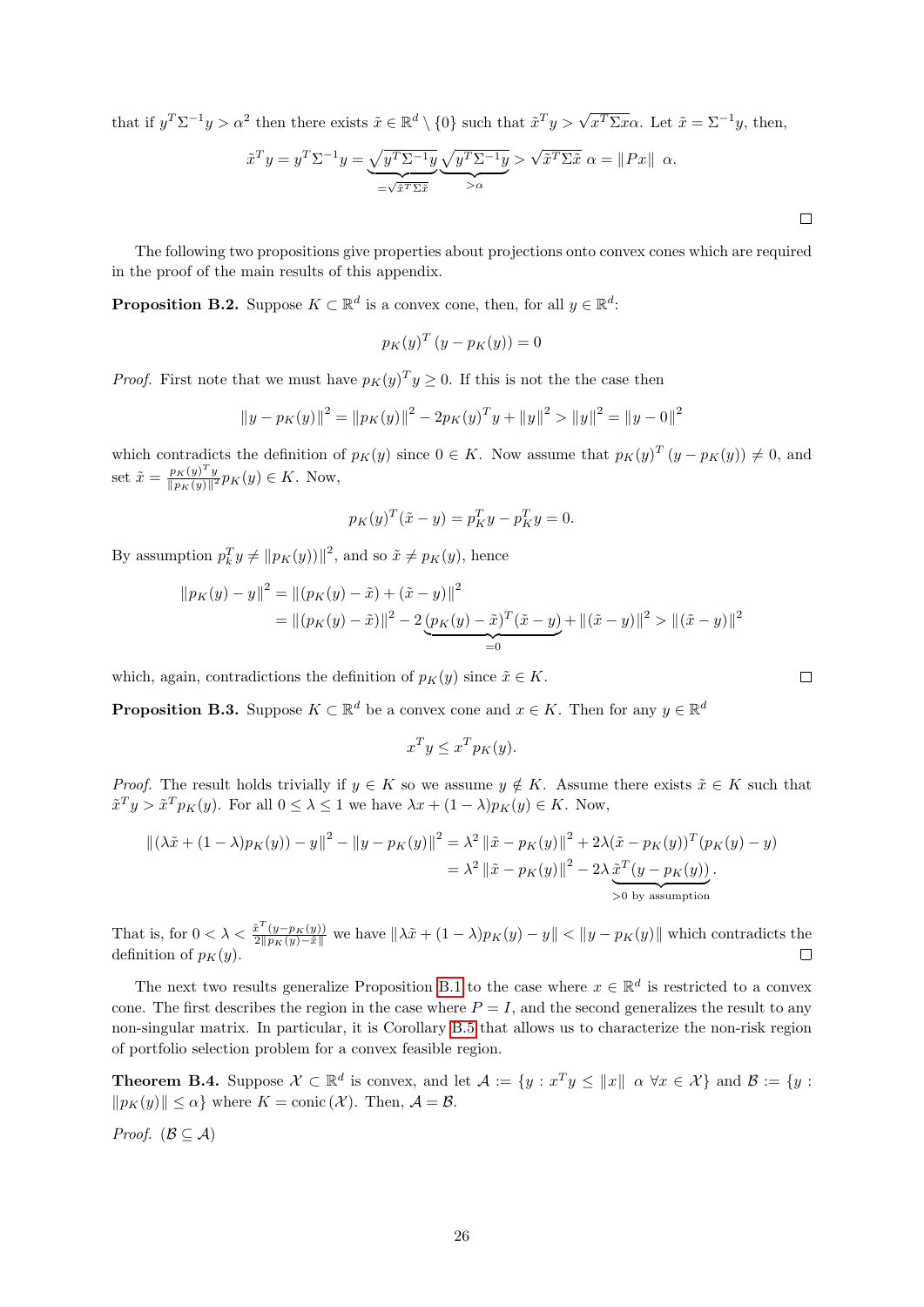that if  $y^T \Sigma^{-1} y > \alpha^2$  then there exists  $\tilde{x} \in \mathbb{R}^d \setminus \{0\}$  such that  $\tilde{x}^T y > \sqrt{x^T \Sigma x} \alpha$ . Let  $\tilde{x} = \Sigma^{-1} y$ , then,

$$
\tilde{x}^T y = y^T \Sigma^{-1} y = \underbrace{\sqrt{y^T \Sigma^{-1} y}}_{= \sqrt{\tilde{x}^T \Sigma \tilde{x}}} \underbrace{\sqrt{y^T \Sigma^{-1} y}}_{> \alpha} > \sqrt{\tilde{x}^T \Sigma \tilde{x}} \alpha = ||Px|| \alpha.
$$

The following two propositions give properties about projections onto convex cones which are required in the proof of the main results of this appendix.

<span id="page-25-1"></span>**Proposition B.2.** Suppose  $K \subset \mathbb{R}^d$  is a convex cone, then, for all  $y \in \mathbb{R}^d$ :

$$
p_K(y)^T (y - p_K(y)) = 0
$$

*Proof.* First note that we must have  $p_K(y)^T y \geq 0$ . If this is not the the case then

$$
||y - p_K(y)||^2 = ||p_K(y)||^2 - 2p_K(y)^T y + ||y||^2 > ||y||^2 = ||y - 0||^2
$$

which contradicts the definition of  $p_K(y)$  since  $0 \in K$ . Now assume that  $p_K(y)^T (y - p_K(y)) \neq 0$ , and set  $\tilde{x} = \frac{p_K(y)^T y}{\ln x (y)^{1/2}}$  $\frac{p_K(y)^{-}y}{\|p_K(y)\|^2} p_K(y) \in K$ . Now,

$$
p_K(y)^T(\tilde{x} - y) = p_K^T y - p_K^T y = 0.
$$

By assumption  $p_k^T y \neq ||p_K(y)||^2$ , and so  $\tilde{x} \neq p_K(y)$ , hence

$$
\|p_K(y) - y\|^2 = \left\|(p_K(y) - \tilde{x}) + (\tilde{x} - y)\right\|^2
$$
  
= 
$$
\|(p_K(y) - \tilde{x})\|^2 - 2\underbrace{(p_K(y) - \tilde{x})^T(\tilde{x} - y)}_{=0} + \left\|(\tilde{x} - y)\right\|^2 > \left\|(\tilde{x} - y)\right\|^2
$$

which, again, contradictions the definition of  $p_K(y)$  since  $\tilde{x} \in K$ .

<span id="page-25-0"></span>**Proposition B.3.** Suppose  $K \subset \mathbb{R}^d$  be a convex cone and  $x \in K$ . Then for any  $y \in \mathbb{R}^d$ 

$$
x^T y \le x^T p_K(y).
$$

*Proof.* The result holds trivially if  $y \in K$  so we assume  $y \notin K$ . Assume there exists  $\tilde{x} \in K$  such that  $\tilde{x}^T y > \tilde{x}^T p_K(y)$ . For all  $0 \leq \lambda \leq 1$  we have  $\lambda x + (1 - \lambda) p_K(y) \in K$ . Now,

$$
\begin{aligned} \left\| (\lambda \tilde{x} + (1 - \lambda)p_K(y)) - y \right\|^2 - \left\| y - p_K(y) \right\|^2 &= \lambda^2 \left\| \tilde{x} - p_K(y) \right\|^2 + 2\lambda (\tilde{x} - p_K(y))^T (p_K(y) - y) \\ &= \lambda^2 \left\| \tilde{x} - p_K(y) \right\|^2 - 2\lambda \underbrace{\tilde{x}^T (y - p_K(y))}_{\text{> 0 by assumption}}. \end{aligned}
$$

That is, for  $0 < \lambda < \frac{\tilde{x}^{T}(y-p_{K}(y))}{2\|p_{K}(y)-\tilde{x}\|}$  we have  $\|\lambda \tilde{x} + (1-\lambda)p_{K}(y) - y\| < \|y-p_{K}(y)\|$  which contradicts the definition of  $p_K(y)$ .

The next two results generalize Proposition [B.1](#page-24-2) to the case where  $x \in \mathbb{R}^d$  is restricted to a convex cone. The first describes the region in the case where  $P = I$ , and the second generalizes the result to any non-singular matrix. In particular, it is Corollary [B.5](#page-26-0) that allows us to characterize the non-risk region of portfolio selection problem for a convex feasible region.

<span id="page-25-2"></span>**Theorem B.4.** Suppose  $\mathcal{X} \subset \mathbb{R}^d$  is convex, and let  $\mathcal{A} := \{y : x^T y \le ||x|| \mid \alpha \ \forall x \in \mathcal{X}\}\$ and  $\mathcal{B} := \{y : x^T y \le ||x|| \mid \alpha \ \forall x \in \mathcal{X}\}\$  $\|p_K(y)\| \leq \alpha\}$  where  $K = \text{conic } (\mathcal{X})$ . Then,  $\mathcal{A} = \mathcal{B}$ .

*Proof.* ( $\mathcal{B} \subseteq \mathcal{A}$ )

 $\Box$